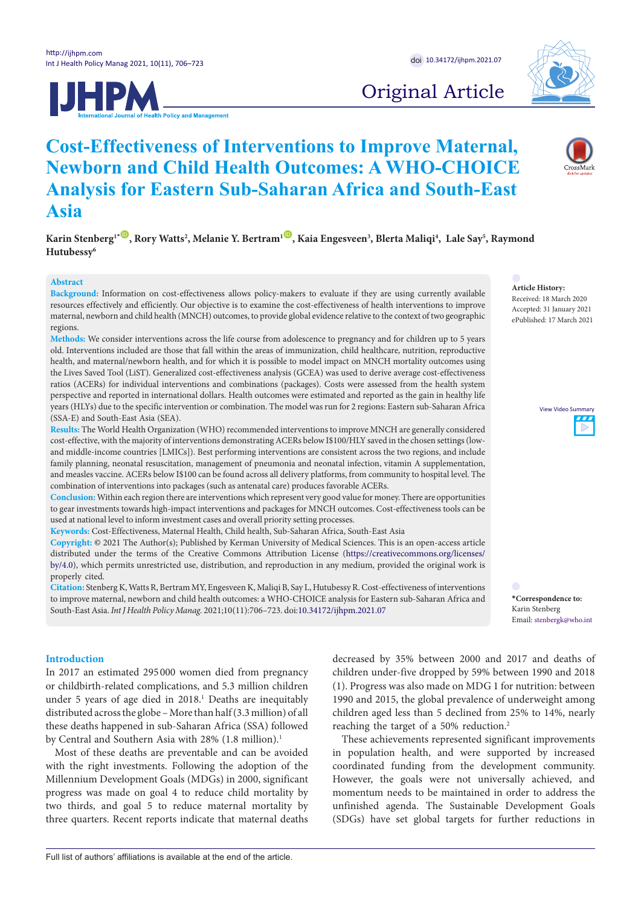



# Original Article

# **Cost-Effectiveness of Interventions to Improve Maternal, Newborn and Child Health Outcomes: A WHO-CHOICE Analysis for Eastern Sub-Saharan Africa and South-East Asia** Commentary Int Chin Health Outomos, 4 11116 Chore nu soum Eur

Karin Stenberg<sup>1•</sup> (®, Rory Watts<sup>2</sup>, Melanie Y. Bertram<sup>1 (®)</sup>, Kaia Engesveen<sup>3</sup>, Blerta Maliqi<sup>4</sup>, Lale Say<sup>5</sup>, Raymond<br>Histologes<sup>6</sup> **Hutubessy6**

**Comment on "Navigating Between Stealth Advocacy and Unconscious Dogmatism: The** 

**Comment on "Navigating Between Stealth Advocacy and Unconscious Dogmatism: The** 

## **Abstract**

Background: Information on cost-effectiveness allows policy-makers to evaluate if they are using currently available resources effectively and efficiently. Our objective is to examine the cost-effectiveness of health interventions to improve maternal, newborn and child health (MNCH) outcomes, to provide global evidence relative to the context of two geographic regions.

**Methods:** We consider interventions across the life course from adolescence to pregnancy and for children up to 5 years **Abstract Abstract** old. Interventions included are those that fall within the areas of immunization, child healthcare, nutrition, reproductive health, and maternal/newborn health, and for which it is possible to model impact on MNCH mortality outcomes using the Lives Saved Tool (LiST). Generalized cost-effectiveness analysis (GCEA) was used to derive average cost-effectiveness ratios (ACERs) for individual interventions and combinations (packages). Costs were assessed from the health system perspective and reported in international dollars. Health outcomes were estimated and reported as the gain in healthy life years (HLYs) due to the specific intervention or combination. The model was run for 2 regions: Eastern sub-Saharan Africa (SSA-E) and South-East Asia (SEA).  $\mu$  in international dollars. Health outcomes were estimated and reported as the gain in healt  $\mu$ udal merventions and combinations (packages). Costs were assessed from the nearm s

**Article History:** Received: 18 March 2020 Accepted: 31 January 2021 ePublished: 17 March 2021

> View Video [Summary](https://youtu.be/waVgWt-FvAA) View Video Summary $\overline{D}$

<span id="page-0-0"></span>**\*Correspondence to:** email: stenberg<br>
is the starting point for the political theorist Chantal Mouffe, and the political theorist Chantal Mouffe, and the political the political theorist Chantal Mouffe, and the political theorist Chantal Mouff  $\ddot{\phantom{a}}$ and her response is to develop and the response is to develop and  $\alpha$ 

Results: The World Health Organization (WHO) recommended interventions to improve MNCH are generally considered cost-effective, with the majority of interventions demonstrating ACERs below I\$100/HLY saved in the chosen settings (lowand middle-income countries [LMICs]). Best performing interventions are consistent across the two regions, and include family planning, neonatal resuscitation, management of pneumonia and neonatal infection, vitamin A supplementation, and measles vaccine. ACERs below I\$100 can be found across all delivery platforms, from community to hospital level. The combination of interventions into packages (such as antenatal care) produces favorable ACERs. itries [LMICs]). Best performing interventions are consistent across the two regions, and in ajority of filer ventions definitive ating ACERS below 1,5100/11L1 saved in the chosen settings

**Conclusion:** Within each region there are interventions which represent very good value for money. There are opportunities to gear investments towards high-impact interventions and packages for MNCH outcomes. Cost-effectiveness tools can be<br>used at national level to inform investment cases and overall priority setting processes.<br>Keywords: Cost used at national level to inform investment cases and overall priority setting processes.

Keywords: Cost-Effectiveness, Maternal Health, Child health, Sub-Saharan Africa, South-East Asia

premises and greater opening to advocacy. The decree opening to a decree to a decree to a decree to a decree to a

Copyright: © 2021 The Author(s); Published by Kerman University of Medical Sciences. This is an open-access article distributed under the terms of the Creative Commons Attribution License [\(https://creativecommons.org/licenses/](https://creativecommons.org/licenses/by/4.0) [by/4.0\)](https://creativecommons.org/licenses/by/4.0), which permits unrestricted use, distribution, and reproduction in any medium, provided the original work is properly cited. policy-makers regarding the normative premises underlying normative structures constitute actors' identities and identities and identities and identities and identities empolities and anticometers and regionalized in any medi matrices the constructivity of the construction of the construction of the construction of the construction of the construction of the construction of the construction of the construction of the construction of the constru provided the original work to

Citation: Stenberg K, Watts R, Bertram MY, Engesveen K, Maliqi B, Say L, Hutubessy R. Cost-effectiveness of interventions to improve maternal, newborn and child health outcomes: a WHO-CHOICE analysis for Eastern sub-Saharan Africa and \*Correspondence to: compresse maternal, newborn and emid neathroducented a virto" Stropped analysis for Education South-East Asia. *Int J Health Policy Manag.* 2021;10(11):706–723. doi:[10.34172/ijhpm.2021.07](https://doi.org/10.34172/ijhpm.2021.07) how constitutive effects also are expressions of power. Expressions of power. Expressions of  $\Gamma$  $\frac{1}{2}$ confusion is for  $C_{10}$  or  $C_{20}$  the explanation of the explanations  $U_{10}$  or  $U_{20}$  is  $V_{10}$  or  $V_{20}$  is  $V_{10}$  or  $V_{20}$  is  $V_{10}$  or  $V_{20}$  is  $V_{10}$  or  $V_{20}$  is  $V_{10}$  or  $V_{20}$  is  $V_{20}$  is  $V_{20}$ eann't oney manag. 2021,10(11).700–729. aoi.10.9417271jiiphi how constitutive effects and power. The exponence of power.

# **Introduction**

In 2017 an estimated 295 000 women died from pregnancy child or childbirth-related complications, and 5.3 million children (1). P under 5 years of age died in  $2018<sup>1</sup>$  Deaths are inequitably 1990 distributed across the globe – More than half  $(3.3 \text{ million})$  of all childi these deaths happened in sub-Saharan Africa (SSA) followed reach by Central and Southern Asia with 28% (1.8 million).<sup>1</sup> The e died in 2018.' Deaths are inequitably 1990 comprisations, and  $\sigma$ , minion condition  $(1)$ ,  $(1)$ conception of  $p_0$  (1.0 minimum).

Most of these deaths are preventable and can be avoided in po with the right investments. Following the adoption of the coord Millennium Development Goals (MDGs) in 2000, significant Howe progress was made on goal 4 to reduce child mortality by mom two thirds, and goal 5 to reduce maternal mortality by unfin three quarters. Recent reports indicate that maternal deaths  $\frac{1}{2}$  are preventable and can be avoided the political dependence of  $\frac{1}{2}$ an *b* to reduce material mortanty this are preventable and can be avoided the political political constitution of  $\mathbf{p}$ of going to reduce the mortung  $\sigma_f$  moments al 5 to requee maternal mortality

(1). Progress was also made on MDG 1 for nutrition: between 1990 and 2015, the global prevalence of underweight among children aged less than 5 declined from 25% to 14%, nearly reaching the target of a 50% reduction.<sup>2</sup> reaching the target of a 50% reduction.<sup>2</sup> These achievements represented significant improvements 2015, the global prevalence of underweight among  $\cos$  was also made on  $\sin 1$  for numericing between the veneric represence of since and proveneited

decreased by 35% between 2000 and 2017 and deaths of

in population health, and were supported by increased coordinated funding from the development community. coordinated funding from the development community.<br>However, the goals were not universally achieved, and momentum needs to be maintained in order to address the unfinished agenda. The Sustainable Development Goals of the different agencial. The sustainable Development Goals<br>aths (SDGs) have set global targets for further reductions in ation nearm, and were supported by increased  $\mathcal{O}$  when  $\frac{1}{1}$  of  $\frac{1}{1}$  of  $\frac{1}{1}$  and  $\frac{1}{1}$  and  $\frac{1}{1}$  and  $\frac{1}{1}$  and  $\frac{1}{1}$  and  $\frac{1}{1}$  and  $\frac{1}{1}$  and  $\frac{1}{1}$  and  $\frac{1}{1}$  and  $\frac{1}{1}$  and  $\frac{1}{1}$  and  $\frac{1}{1}$  and  $\frac{1}{1}$  and  $\frac{1}{1}$  and a agenda. The sustainable Development Goals

decreased by 35% between 2000 and 2017 and deaths of<br>children under-five dropped by 59% between 1990 and 2018

and her response is to develop and  $\sigma$  and  $\sigma$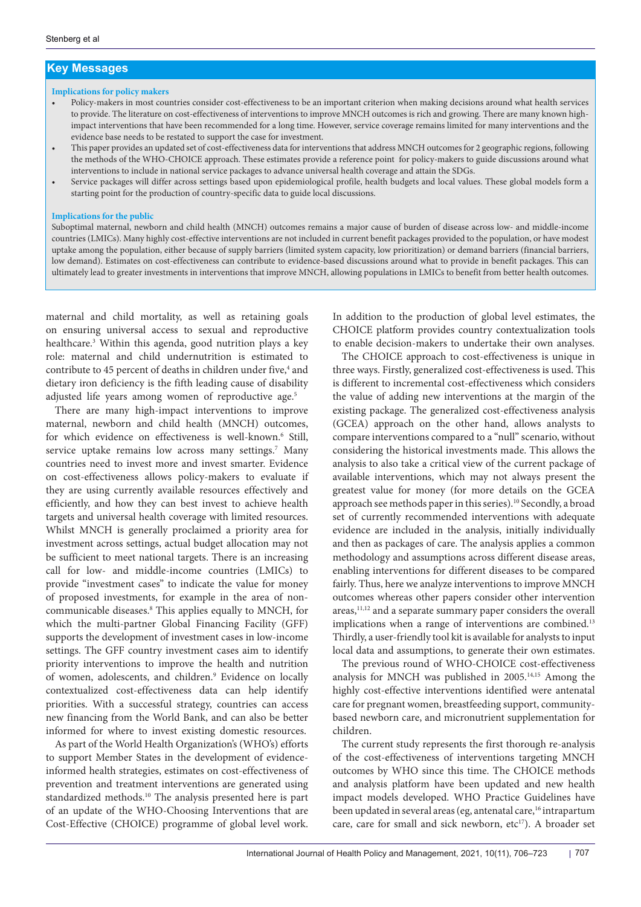# **Key Messages**

#### **Implications for policy makers**

- Policy-makers in most countries consider cost-effectiveness to be an important criterion when making decisions around what health services to provide. The literature on cost-effectiveness of interventions to improve MNCH outcomes is rich and growing. There are many known highimpact interventions that have been recommended for a long time. However, service coverage remains limited for many interventions and the evidence base needs to be restated to support the case for investment.
- This paper provides an updated set of cost-effectiveness data for interventions that address MNCH outcomes for 2 geographic regions, following the methods of the WHO-CHOICE approach. These estimates provide a reference point for policy-makers to guide discussions around what interventions to include in national service packages to advance universal health coverage and attain the SDGs.
- Service packages will differ across settings based upon epidemiological profile, health budgets and local values. These global models form a starting point for the production of country-specific data to guide local discussions.

#### **Implications for the public**

Suboptimal maternal, newborn and child health (MNCH) outcomes remains a major cause of burden of disease across low- and middle-income countries (LMICs). Many highly cost-effective interventions are not included in current benefit packages provided to the population, or have modest uptake among the population, either because of supply barriers (limited system capacity, low prioritization) or demand barriers (financial barriers, low demand). Estimates on cost-effectiveness can contribute to evidence-based discussions around what to provide in benefit packages. This can ultimately lead to greater investments in interventions that improve MNCH, allowing populations in LMICs to benefit from better health outcomes.

maternal and child mortality, as well as retaining goals on ensuring universal access to sexual and reproductive healthcare.3 Within this agenda, good nutrition plays a key role: maternal and child undernutrition is estimated to contribute to 45 percent of deaths in children under five,<sup>4</sup> and dietary iron deficiency is the fifth leading cause of disability adjusted life years among women of reproductive age.<sup>5</sup>

There are many high-impact interventions to improve maternal, newborn and child health (MNCH) outcomes, for which evidence on effectiveness is well-known.<sup>6</sup> Still, service uptake remains low across many settings.7 Many countries need to invest more and invest smarter. Evidence on cost-effectiveness allows policy-makers to evaluate if they are using currently available resources effectively and efficiently, and how they can best invest to achieve health targets and universal health coverage with limited resources. Whilst MNCH is generally proclaimed a priority area for investment across settings, actual budget allocation may not be sufficient to meet national targets. There is an increasing call for low- and middle-income countries (LMICs) to provide "investment cases" to indicate the value for money of proposed investments, for example in the area of noncommunicable diseases.8 This applies equally to MNCH, for which the multi-partner Global Financing Facility (GFF) supports the development of investment cases in low-income settings. The GFF country investment cases aim to identify priority interventions to improve the health and nutrition of women, adolescents, and children.<sup>9</sup> Evidence on locally contextualized cost-effectiveness data can help identify priorities. With a successful strategy, countries can access new financing from the World Bank, and can also be better informed for where to invest existing domestic resources.

As part of the World Health Organization's (WHO's) efforts to support Member States in the development of evidenceinformed health strategies, estimates on cost-effectiveness of prevention and treatment interventions are generated using standardized methods.10 The analysis presented here is part of an update of the WHO-Choosing Interventions that are Cost-Effective (CHOICE) programme of global level work.

In addition to the production of global level estimates, the CHOICE platform provides country contextualization tools to enable decision-makers to undertake their own analyses.

The CHOICE approach to cost-effectiveness is unique in three ways. Firstly, generalized cost-effectiveness is used. This is different to incremental cost-effectiveness which considers the value of adding new interventions at the margin of the existing package. The generalized cost-effectiveness analysis (GCEA) approach on the other hand, allows analysts to compare interventions compared to a "null" scenario, without considering the historical investments made. This allows the analysis to also take a critical view of the current package of available interventions, which may not always present the greatest value for money (for more details on the GCEA approach see methods paper in this series).10 Secondly, a broad set of currently recommended interventions with adequate evidence are included in the analysis, initially individually and then as packages of care. The analysis applies a common methodology and assumptions across different disease areas, enabling interventions for different diseases to be compared fairly. Thus, here we analyze interventions to improve MNCH outcomes whereas other papers consider other intervention areas,<sup>11,12</sup> and a separate summary paper considers the overall implications when a range of interventions are combined.<sup>13</sup> Thirdly, a user-friendly tool kit is available for analysts to input local data and assumptions, to generate their own estimates.

The previous round of WHO-CHOICE cost-effectiveness analysis for MNCH was published in 2005.14,15 Among the highly cost-effective interventions identified were antenatal care for pregnant women, breastfeeding support, communitybased newborn care, and micronutrient supplementation for children.

The current study represents the first thorough re-analysis of the cost-effectiveness of interventions targeting MNCH outcomes by WHO since this time. The CHOICE methods and analysis platform have been updated and new health impact models developed. WHO Practice Guidelines have been updated in several areas (eg, antenatal care,<sup>16</sup> intrapartum care, care for small and sick newborn, etc<sup>17</sup>). A broader set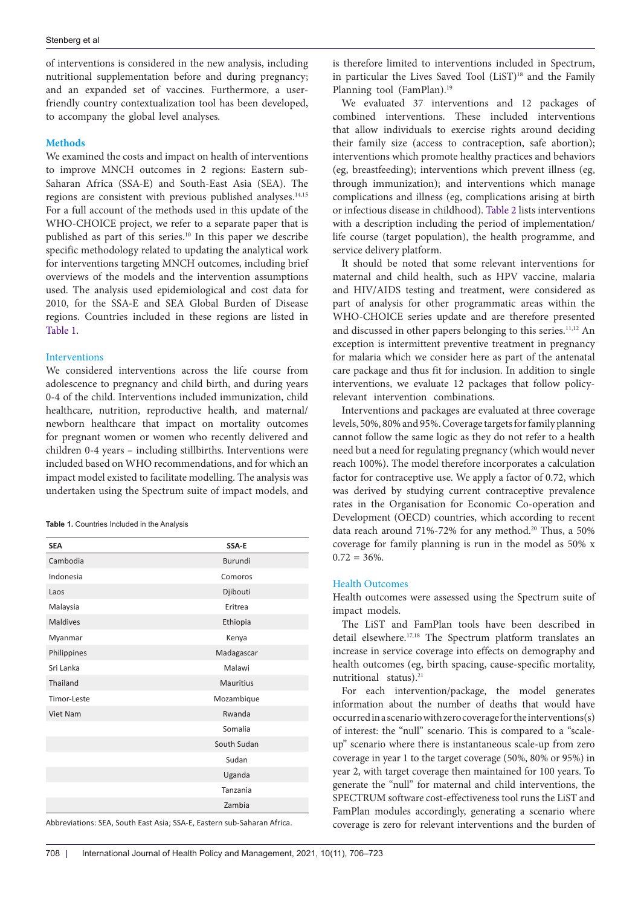of interventions is considered in the new analysis, including nutritional supplementation before and during pregnancy; and an expanded set of vaccines. Furthermore, a userfriendly country contextualization tool has been developed, to accompany the global level analyses*.* 

## **Methods**

We examined the costs and impact on health of interventions to improve MNCH outcomes in 2 regions: Eastern sub-Saharan Africa (SSA-E) and South-East Asia (SEA). The regions are consistent with previous published analyses.<sup>14,15</sup> For a full account of the methods used in this update of the WHO-CHOICE project, we refer to a separate paper that is published as part of this series.10 In this paper we describe specific methodology related to updating the analytical work for interventions targeting MNCH outcomes, including brief overviews of the models and the intervention assumptions used. The analysis used epidemiological and cost data for 2010, for the SSA-E and SEA Global Burden of Disease regions. Countries included in these regions are listed in [Table 1.](#page-2-0)

#### **Interventions**

We considered interventions across the life course from adolescence to pregnancy and child birth, and during years 0-4 of the child. Interventions included immunization, child healthcare, nutrition, reproductive health, and maternal/ newborn healthcare that impact on mortality outcomes for pregnant women or women who recently delivered and children 0-4 years – including stillbirths. Interventions were included based on WHO recommendations, and for which an impact model existed to facilitate modelling. The analysis was undertaken using the Spectrum suite of impact models, and

<span id="page-2-0"></span>

| Table 1. Countries Included in the Analysis |
|---------------------------------------------|
|---------------------------------------------|

| <b>SEA</b>  | SSA-E          |  |  |  |  |
|-------------|----------------|--|--|--|--|
| Cambodia    | <b>Burundi</b> |  |  |  |  |
| Indonesia   | Comoros        |  |  |  |  |
| Laos        | Djibouti       |  |  |  |  |
| Malaysia    | Eritrea        |  |  |  |  |
| Maldives    | Ethiopia       |  |  |  |  |
| Myanmar     | Kenya          |  |  |  |  |
| Philippines | Madagascar     |  |  |  |  |
| Sri Lanka   | Malawi         |  |  |  |  |
| Thailand    | Mauritius      |  |  |  |  |
| Timor-Leste | Mozambique     |  |  |  |  |
| Viet Nam    | Rwanda         |  |  |  |  |
|             | Somalia        |  |  |  |  |
|             | South Sudan    |  |  |  |  |
|             | Sudan          |  |  |  |  |
|             | Uganda         |  |  |  |  |
|             | Tanzania       |  |  |  |  |
|             | Zambia         |  |  |  |  |

Abbreviations: SEA, South East Asia; SSA-E, Eastern sub-Saharan Africa.

is therefore limited to interventions included in Spectrum, in particular the Lives Saved Tool (LiST)<sup>18</sup> and the Family Planning tool (FamPlan).19

We evaluated 37 interventions and 12 packages of combined interventions. These included interventions that allow individuals to exercise rights around deciding their family size (access to contraception, safe abortion); interventions which promote healthy practices and behaviors (eg, breastfeeding); interventions which prevent illness (eg, through immunization); and interventions which manage complications and illness (eg, complications arising at birth or infectious disease in childhood). [Table 2](#page-3-0) lists interventions with a description including the period of implementation/ life course (target population), the health programme, and service delivery platform.

It should be noted that some relevant interventions for maternal and child health, such as HPV vaccine, malaria and HIV/AIDS testing and treatment, were considered as part of analysis for other programmatic areas within the WHO-CHOICE series update and are therefore presented and discussed in other papers belonging to this series.<sup>11,12</sup> An exception is intermittent preventive treatment in pregnancy for malaria which we consider here as part of the antenatal care package and thus fit for inclusion. In addition to single interventions, we evaluate 12 packages that follow policyrelevant intervention combinations.

Interventions and packages are evaluated at three coverage levels, 50%, 80% and 95%. Coverage targets for family planning cannot follow the same logic as they do not refer to a health need but a need for regulating pregnancy (which would never reach 100%). The model therefore incorporates a calculation factor for contraceptive use. We apply a factor of 0.72, which was derived by studying current contraceptive prevalence rates in the Organisation for Economic Co-operation and Development (OECD) countries, which according to recent data reach around 71%-72% for any method.<sup>20</sup> Thus, a 50% coverage for family planning is run in the model as 50% x  $0.72 = 36\%$ .

# Health Outcomes

Health outcomes were assessed using the Spectrum suite of impact models.

The LiST and FamPlan tools have been described in detail elsewhere.17,18 The Spectrum platform translates an increase in service coverage into effects on demography and health outcomes (eg, birth spacing, cause-specific mortality, nutritional status).<sup>21</sup>

For each intervention/package, the model generates information about the number of deaths that would have occurred in a scenario with zero coverage for the interventions(s) of interest: the "null" scenario. This is compared to a "scaleup" scenario where there is instantaneous scale-up from zero coverage in year 1 to the target coverage (50%, 80% or 95%) in year 2, with target coverage then maintained for 100 years. To generate the "null" for maternal and child interventions, the SPECTRUM software cost-effectiveness tool runs the LiST and FamPlan modules accordingly, generating a scenario where coverage is zero for relevant interventions and the burden of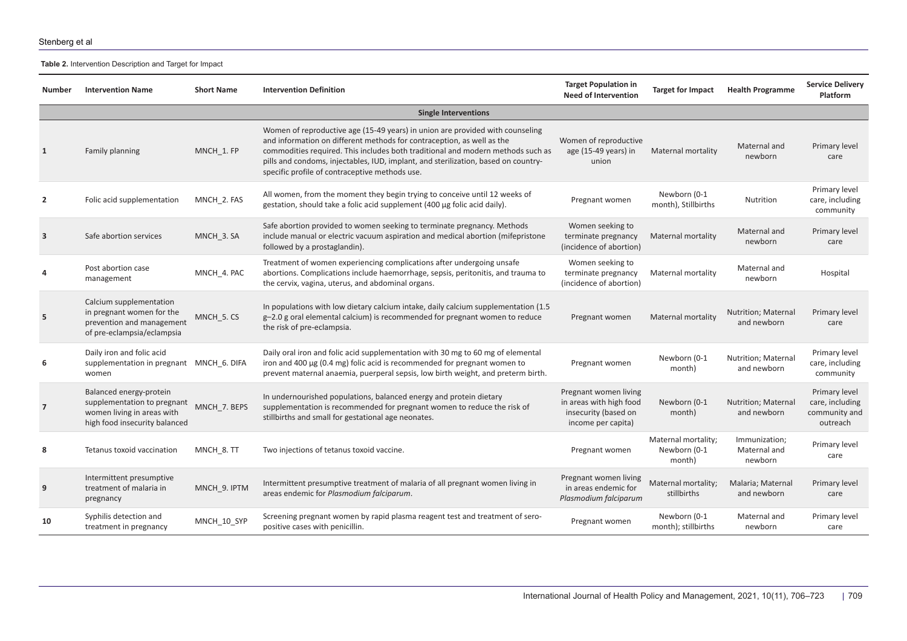### **Table 2.** Intervention Description and Target for Impact

<span id="page-3-0"></span>

| Number         | <b>Intervention Name</b>                                                                                              | <b>Short Name</b> | <b>Intervention Definition</b>                                                                                                                                                                                                                                                                                                                                                     | <b>Target Population in</b><br><b>Need of Intervention</b>                                     | <b>Target for Impact</b>                      | <b>Health Programme</b>                  | <b>Service Delivery</b><br>Platform                           |  |  |  |
|----------------|-----------------------------------------------------------------------------------------------------------------------|-------------------|------------------------------------------------------------------------------------------------------------------------------------------------------------------------------------------------------------------------------------------------------------------------------------------------------------------------------------------------------------------------------------|------------------------------------------------------------------------------------------------|-----------------------------------------------|------------------------------------------|---------------------------------------------------------------|--|--|--|
|                | <b>Single Interventions</b>                                                                                           |                   |                                                                                                                                                                                                                                                                                                                                                                                    |                                                                                                |                                               |                                          |                                                               |  |  |  |
| 1              | Family planning                                                                                                       | MNCH 1. FP        | Women of reproductive age (15-49 years) in union are provided with counseling<br>and information on different methods for contraception, as well as the<br>commodities required. This includes both traditional and modern methods such as<br>pills and condoms, injectables, IUD, implant, and sterilization, based on country-<br>specific profile of contraceptive methods use. | Women of reproductive<br>age (15-49 years) in<br>union                                         | Maternal mortality                            | Maternal and<br>newborn                  | Primary level<br>care                                         |  |  |  |
| $\overline{2}$ | Folic acid supplementation                                                                                            | MNCH_2. FAS       | All women, from the moment they begin trying to conceive until 12 weeks of<br>gestation, should take a folic acid supplement (400 µg folic acid daily).                                                                                                                                                                                                                            | Pregnant women                                                                                 | Newborn (0-1<br>month), Stillbirths           | Nutrition                                | Primary level<br>care, including<br>community                 |  |  |  |
| 3              | Safe abortion services                                                                                                | MNCH 3. SA        | Safe abortion provided to women seeking to terminate pregnancy. Methods<br>include manual or electric vacuum aspiration and medical abortion (mifepristone<br>followed by a prostaglandin).                                                                                                                                                                                        | Women seeking to<br>terminate pregnancy<br>(incidence of abortion)                             | Maternal mortality                            | Maternal and<br>newborn                  | Primary level<br>care                                         |  |  |  |
| 4              | Post abortion case<br>management                                                                                      | MNCH 4. PAC       | Treatment of women experiencing complications after undergoing unsafe<br>abortions. Complications include haemorrhage, sepsis, peritonitis, and trauma to<br>the cervix, vagina, uterus, and abdominal organs.                                                                                                                                                                     | Women seeking to<br>terminate pregnancy<br>(incidence of abortion)                             | Maternal mortality                            | Maternal and<br>newborn                  | Hospital                                                      |  |  |  |
| 5              | Calcium supplementation<br>in pregnant women for the<br>prevention and management<br>of pre-eclampsia/eclampsia       | MNCH_5.CS         | In populations with low dietary calcium intake, daily calcium supplementation (1.5)<br>$g-2.0$ g oral elemental calcium) is recommended for pregnant women to reduce<br>the risk of pre-eclampsia.                                                                                                                                                                                 | Pregnant women                                                                                 | Maternal mortality                            | Nutrition; Maternal<br>and newborn       | Primary level<br>care                                         |  |  |  |
| 6              | Daily iron and folic acid<br>supplementation in pregnant MNCH_6. DIFA<br>women                                        |                   | Daily oral iron and folic acid supplementation with 30 mg to 60 mg of elemental<br>iron and 400 µg (0.4 mg) folic acid is recommended for pregnant women to<br>prevent maternal anaemia, puerperal sepsis, low birth weight, and preterm birth.                                                                                                                                    | Pregnant women                                                                                 | Newborn (0-1<br>month)                        | Nutrition; Maternal<br>and newborn       | Primary level<br>care, including<br>community                 |  |  |  |
| $\overline{7}$ | Balanced energy-protein<br>supplementation to pregnant<br>women living in areas with<br>high food insecurity balanced | MNCH_7. BEPS      | In undernourished populations, balanced energy and protein dietary<br>supplementation is recommended for pregnant women to reduce the risk of<br>stillbirths and small for gestational age neonates.                                                                                                                                                                               | Pregnant women living<br>in areas with high food<br>insecurity (based on<br>income per capita) | Newborn (0-1<br>month)                        | Nutrition; Maternal<br>and newborn       | Primary level<br>care, including<br>community and<br>outreach |  |  |  |
| 8              | Tetanus toxoid vaccination                                                                                            | MNCH 8. TT        | Two injections of tetanus toxoid vaccine.                                                                                                                                                                                                                                                                                                                                          | Pregnant women                                                                                 | Maternal mortality;<br>Newborn (0-1<br>month) | Immunization;<br>Maternal and<br>newborn | Primary level<br>care                                         |  |  |  |
| 9              | Intermittent presumptive<br>treatment of malaria in<br>pregnancy                                                      | MNCH 9. IPTM      | Intermittent presumptive treatment of malaria of all pregnant women living in<br>areas endemic for Plasmodium falciparum.                                                                                                                                                                                                                                                          | Pregnant women living<br>in areas endemic for<br>Plasmodium falciparum                         | Maternal mortality;<br>stillbirths            | Malaria; Maternal<br>and newborn         | Primary level<br>care                                         |  |  |  |
| 10             | Syphilis detection and<br>treatment in pregnancy                                                                      | MNCH 10 SYP       | Screening pregnant women by rapid plasma reagent test and treatment of sero-<br>positive cases with penicillin.                                                                                                                                                                                                                                                                    | Pregnant women                                                                                 | Newborn (0-1<br>month); stillbirths           | Maternal and<br>newborn                  | Primary level<br>care                                         |  |  |  |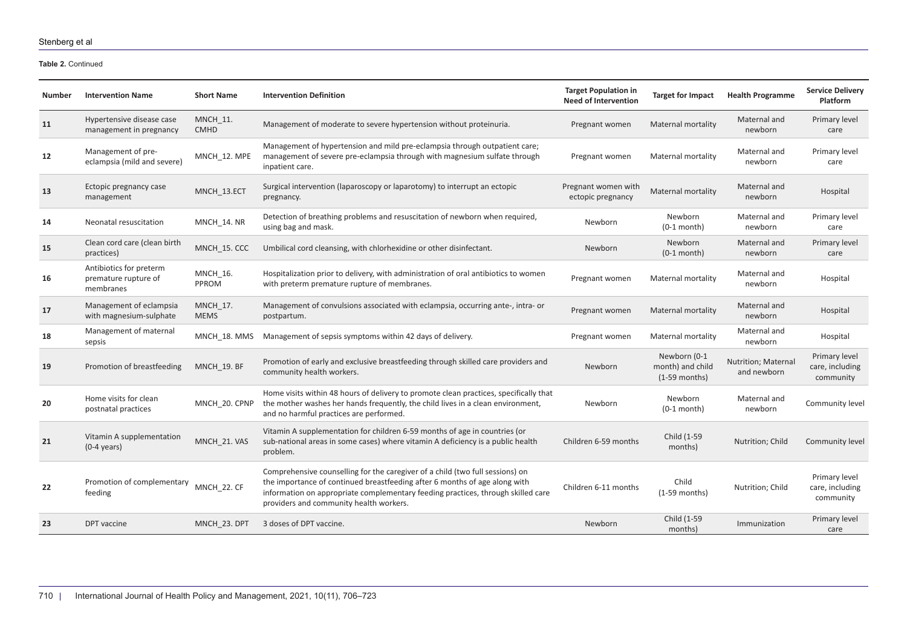**Table 2.** Continued

| Number | <b>Intervention Name</b>                                     | <b>Short Name</b>              | <b>Intervention Definition</b>                                                                                                                                                                                                                                                             | <b>Target Population in</b><br><b>Need of Intervention</b> | <b>Target for Impact</b>                            | <b>Health Programme</b>            | <b>Service Delivery</b><br>Platform           |
|--------|--------------------------------------------------------------|--------------------------------|--------------------------------------------------------------------------------------------------------------------------------------------------------------------------------------------------------------------------------------------------------------------------------------------|------------------------------------------------------------|-----------------------------------------------------|------------------------------------|-----------------------------------------------|
| 11     | Hypertensive disease case<br>management in pregnancy         | <b>MNCH 11.</b><br><b>CMHD</b> | Management of moderate to severe hypertension without proteinuria.                                                                                                                                                                                                                         | Pregnant women                                             | Maternal mortality                                  | Maternal and<br>newborn            | Primary level<br>care                         |
| 12     | Management of pre-<br>eclampsia (mild and severe)            | MNCH_12. MPE                   | Management of hypertension and mild pre-eclampsia through outpatient care;<br>management of severe pre-eclampsia through with magnesium sulfate through<br>inpatient care.                                                                                                                 | Pregnant women                                             | Maternal mortality                                  | Maternal and<br>newborn            | Primary level<br>care                         |
| 13     | Ectopic pregnancy case<br>management                         | MNCH_13.ECT                    | Surgical intervention (laparoscopy or laparotomy) to interrupt an ectopic<br>pregnancy.                                                                                                                                                                                                    | Pregnant women with<br>ectopic pregnancy                   | <b>Maternal mortality</b>                           | Maternal and<br>newborn            | Hospital                                      |
| 14     | Neonatal resuscitation                                       | MNCH 14. NR                    | Detection of breathing problems and resuscitation of newborn when required,<br>using bag and mask.                                                                                                                                                                                         | Newborn                                                    | Newborn<br>$(0-1$ month)                            | Maternal and<br>newborn            | Primary level<br>care                         |
| 15     | Clean cord care (clean birth<br>practices)                   | MNCH 15. CCC                   | Umbilical cord cleansing, with chlorhexidine or other disinfectant.                                                                                                                                                                                                                        | Newborn                                                    | Newborn<br>$(0-1$ month)                            | Maternal and<br>newborn            | Primary level<br>care                         |
| 16     | Antibiotics for preterm<br>premature rupture of<br>membranes | <b>MNCH 16.</b><br>PPROM       | Hospitalization prior to delivery, with administration of oral antibiotics to women<br>with preterm premature rupture of membranes.                                                                                                                                                        | Pregnant women                                             | Maternal mortality                                  | Maternal and<br>newborn            | Hospital                                      |
| 17     | Management of eclampsia<br>with magnesium-sulphate           | MNCH 17.<br><b>MEMS</b>        | Management of convulsions associated with eclampsia, occurring ante-, intra- or<br>postpartum.                                                                                                                                                                                             | Pregnant women                                             | Maternal mortality                                  | Maternal and<br>newborn            | Hospital                                      |
| 18     | Management of maternal<br>sepsis                             | MNCH 18. MMS                   | Management of sepsis symptoms within 42 days of delivery.                                                                                                                                                                                                                                  | Pregnant women                                             | Maternal mortality                                  | Maternal and<br>newborn            | Hospital                                      |
| 19     | Promotion of breastfeeding                                   | MNCH 19. BF                    | Promotion of early and exclusive breastfeeding through skilled care providers and<br>community health workers.                                                                                                                                                                             | Newborn                                                    | Newborn (0-1<br>month) and child<br>$(1-59$ months) | Nutrition; Maternal<br>and newborn | Primary level<br>care, including<br>community |
| 20     | Home visits for clean<br>postnatal practices                 | MNCH 20. CPNP                  | Home visits within 48 hours of delivery to promote clean practices, specifically that<br>the mother washes her hands frequently, the child lives in a clean environment,<br>and no harmful practices are performed.                                                                        | Newborn                                                    | <b>Newborn</b><br>$(0-1$ month)                     | Maternal and<br>newborn            | Community level                               |
| 21     | Vitamin A supplementation<br>$(0-4 \text{ years})$           | MNCH_21. VAS                   | Vitamin A supplementation for children 6-59 months of age in countries (or<br>sub-national areas in some cases) where vitamin A deficiency is a public health<br>problem.                                                                                                                  | Children 6-59 months                                       | Child (1-59<br>months)                              | Nutrition; Child                   | Community level                               |
| 22     | Promotion of complementary<br>feeding                        | MNCH 22. CF                    | Comprehensive counselling for the caregiver of a child (two full sessions) on<br>the importance of continued breastfeeding after 6 months of age along with<br>information on appropriate complementary feeding practices, through skilled care<br>providers and community health workers. | Children 6-11 months                                       | Child<br>$(1-59$ months)                            | Nutrition; Child                   | Primary level<br>care, including<br>community |
| 23     | DPT vaccine                                                  | MNCH 23. DPT                   | 3 doses of DPT vaccine.                                                                                                                                                                                                                                                                    | Newborn                                                    | Child (1-59<br>months)                              | Immunization                       | Primary level<br>care                         |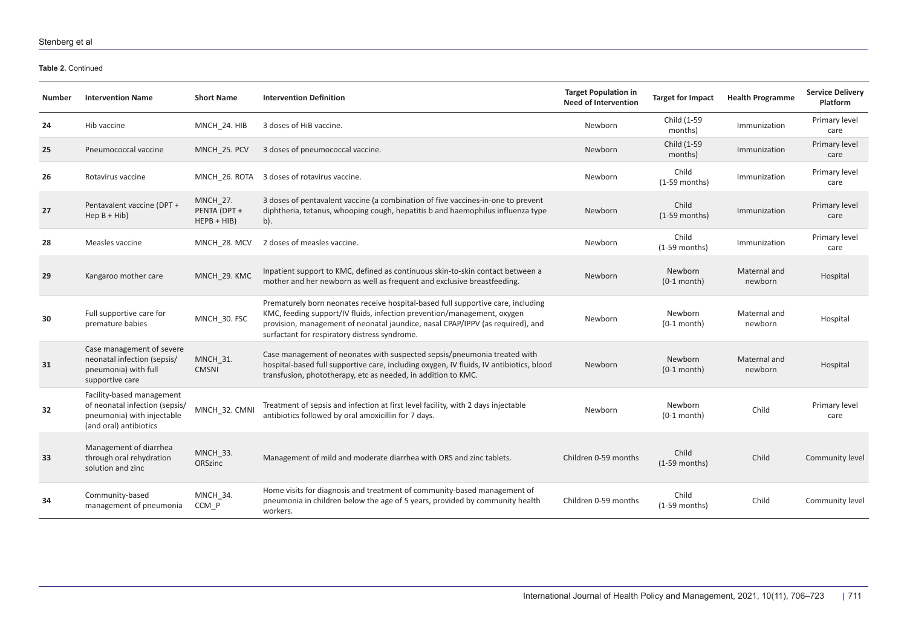**Table 2.** Continued

| Number | <b>Intervention Name</b>                                                                                            | <b>Short Name</b>                                | <b>Intervention Definition</b>                                                                                                                                                                                                                                                                 | <b>Target Population in</b><br><b>Need of Intervention</b> | <b>Target for Impact</b>        | <b>Health Programme</b> | <b>Service Delivery</b><br>Platform |
|--------|---------------------------------------------------------------------------------------------------------------------|--------------------------------------------------|------------------------------------------------------------------------------------------------------------------------------------------------------------------------------------------------------------------------------------------------------------------------------------------------|------------------------------------------------------------|---------------------------------|-------------------------|-------------------------------------|
| 24     | Hib vaccine                                                                                                         | MNCH 24. HIB                                     | 3 doses of HiB vaccine.                                                                                                                                                                                                                                                                        | Newborn                                                    | Child (1-59<br>months)          | Immunization            | Primary level<br>care               |
| 25     | Pneumococcal vaccine                                                                                                | MNCH 25. PCV                                     | 3 doses of pneumococcal vaccine.                                                                                                                                                                                                                                                               | Newborn                                                    | Child (1-59<br>months)          | Immunization            | Primary level<br>care               |
| 26     | Rotavirus vaccine                                                                                                   | MNCH 26. ROTA                                    | 3 doses of rotavirus vaccine.                                                                                                                                                                                                                                                                  | Newborn                                                    | Child<br>$(1-59$ months)        | Immunization            | Primary level<br>care               |
| 27     | Pentavalent vaccine (DPT +<br>$\text{Hep }B + \text{Hib}$                                                           | <b>MNCH 27.</b><br>PENTA (DPT +<br>$HEPB + HIB)$ | 3 doses of pentavalent vaccine (a combination of five vaccines-in-one to prevent<br>diphtheria, tetanus, whooping cough, hepatitis b and haemophilus influenza type<br>$b$ ).                                                                                                                  | Newborn                                                    | Child<br>$(1-59$ months)        | Immunization            | Primary level<br>care               |
| 28     | Measles vaccine                                                                                                     | MNCH 28. MCV                                     | 2 doses of measles vaccine.                                                                                                                                                                                                                                                                    | Newborn                                                    | Child<br>$(1-59$ months)        | Immunization            | Primary level<br>care               |
| 29     | Kangaroo mother care                                                                                                | MNCH_29. KMC                                     | Inpatient support to KMC, defined as continuous skin-to-skin contact between a<br>mother and her newborn as well as frequent and exclusive breastfeeding.                                                                                                                                      | Newborn                                                    | Newborn<br>$(0-1$ month)        | Maternal and<br>newborn | Hospital                            |
| 30     | Full supportive care for<br>premature babies                                                                        | MNCH_30. FSC                                     | Prematurely born neonates receive hospital-based full supportive care, including<br>KMC, feeding support/IV fluids, infection prevention/management, oxygen<br>provision, management of neonatal jaundice, nasal CPAP/IPPV (as required), and<br>surfactant for respiratory distress syndrome. | Newborn                                                    | Newborn<br>$(0-1$ month)        | Maternal and<br>newborn | Hospital                            |
| 31     | Case management of severe<br>neonatal infection (sepsis/<br>pneumonia) with full<br>supportive care                 | <b>MNCH_31.</b><br><b>CMSNI</b>                  | Case management of neonates with suspected sepsis/pneumonia treated with<br>hospital-based full supportive care, including oxygen, IV fluids, IV antibiotics, blood<br>transfusion, phototherapy, etc as needed, in addition to KMC.                                                           | Newborn                                                    | <b>Newborn</b><br>$(0-1$ month) | Maternal and<br>newborn | Hospital                            |
| 32     | Facility-based management<br>of neonatal infection (sepsis/<br>pneumonia) with injectable<br>(and oral) antibiotics | MNCH_32. CMNI                                    | Treatment of sepsis and infection at first level facility, with 2 days injectable<br>antibiotics followed by oral amoxicillin for 7 days.                                                                                                                                                      | Newborn                                                    | Newborn<br>$(0-1$ month)        | Child                   | Primary level<br>care               |
| 33     | Management of diarrhea<br>through oral rehydration<br>solution and zinc                                             | MNCH_33.<br>ORSzinc                              | Management of mild and moderate diarrhea with ORS and zinc tablets.                                                                                                                                                                                                                            | Children 0-59 months                                       | Child<br>$(1-59$ months)        | Child                   | Community level                     |
| 34     | Community-based<br>management of pneumonia                                                                          | MNCH 34.<br>CCM P                                | Home visits for diagnosis and treatment of community-based management of<br>pneumonia in children below the age of 5 years, provided by community health<br>workers.                                                                                                                           | Children 0-59 months                                       | Child<br>$(1-59$ months)        | Child                   | Community level                     |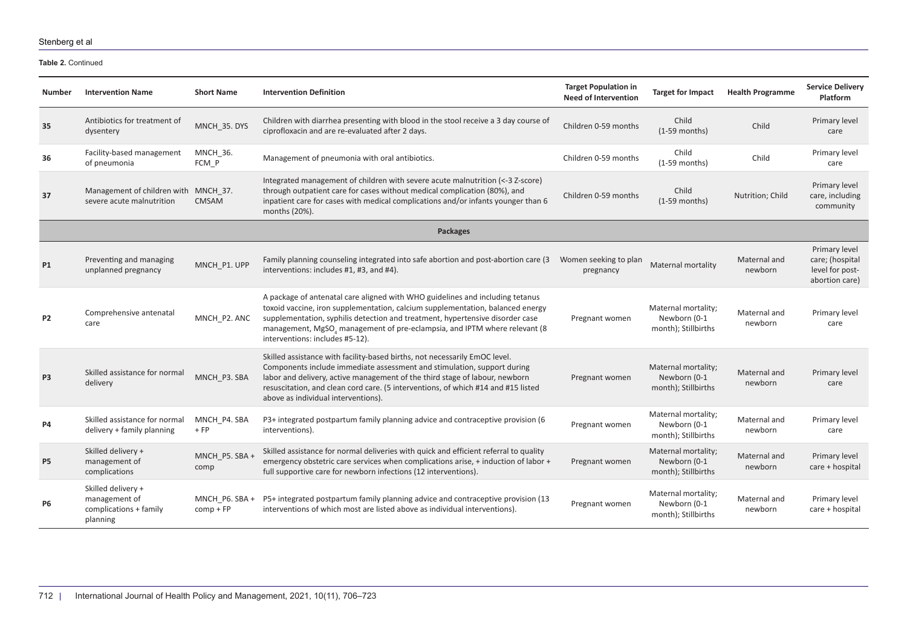**Table 2.** Continued

| Number         | <b>Intervention Name</b>                                                  | <b>Short Name</b>             | <b>Intervention Definition</b>                                                                                                                                                                                                                                                                                                                                   | <b>Target Population in</b><br><b>Need of Intervention</b> | <b>Target for Impact</b>                                   | <b>Health Programme</b> | <b>Service Delivery</b><br><b>Platform</b>                            |
|----------------|---------------------------------------------------------------------------|-------------------------------|------------------------------------------------------------------------------------------------------------------------------------------------------------------------------------------------------------------------------------------------------------------------------------------------------------------------------------------------------------------|------------------------------------------------------------|------------------------------------------------------------|-------------------------|-----------------------------------------------------------------------|
| 35             | Antibiotics for treatment of<br>dysentery                                 | MNCH 35. DYS                  | Children with diarrhea presenting with blood in the stool receive a 3 day course of<br>ciprofloxacin and are re-evaluated after 2 days.                                                                                                                                                                                                                          | Children 0-59 months                                       | Child<br>$(1-59$ months)                                   | Child                   | Primary level<br>care                                                 |
| 36             | Facility-based management<br>of pneumonia                                 | <b>MNCH 36.</b><br>FCM P      | Management of pneumonia with oral antibiotics.                                                                                                                                                                                                                                                                                                                   | Children 0-59 months                                       | Child<br>$(1-59$ months)                                   | Child                   | Primary level<br>care                                                 |
| 37             | Management of children with MNCH 37.<br>severe acute malnutrition         | <b>CMSAM</b>                  | Integrated management of children with severe acute malnutrition (<-3 Z-score)<br>through outpatient care for cases without medical complication (80%), and<br>inpatient care for cases with medical complications and/or infants younger than 6<br>months (20%).                                                                                                | Children 0-59 months                                       | Child<br>$(1-59$ months)                                   | Nutrition; Child        | Primary level<br>care, including<br>community                         |
|                |                                                                           |                               | <b>Packages</b>                                                                                                                                                                                                                                                                                                                                                  |                                                            |                                                            |                         |                                                                       |
| <b>P1</b>      | Preventing and managing<br>unplanned pregnancy                            | MNCH P1. UPP                  | Family planning counseling integrated into safe abortion and post-abortion care (3)<br>interventions: includes #1, #3, and #4).                                                                                                                                                                                                                                  | Women seeking to plan<br>pregnancy                         | Maternal mortality                                         | Maternal and<br>newborn | Primary level<br>care; (hospital<br>level for post-<br>abortion care) |
| P <sub>2</sub> | Comprehensive antenatal<br>care                                           | MNCH P2. ANC                  | A package of antenatal care aligned with WHO guidelines and including tetanus<br>toxoid vaccine, iron supplementation, calcium supplementation, balanced energy<br>supplementation, syphilis detection and treatment, hypertensive disorder case<br>management, MgSO, management of pre-eclampsia, and IPTM where relevant (8<br>interventions: includes #5-12). | Pregnant women                                             | Maternal mortality;<br>Newborn (0-1<br>month); Stillbirths | Maternal and<br>newborn | Primary level<br>care                                                 |
| P <sub>3</sub> | Skilled assistance for normal<br>delivery                                 | MNCH_P3. SBA                  | Skilled assistance with facility-based births, not necessarily EmOC level.<br>Components include immediate assessment and stimulation, support during<br>labor and delivery, active management of the third stage of labour, newborn<br>resuscitation, and clean cord care. (5 interventions, of which #14 and #15 listed<br>above as individual interventions). | Pregnant women                                             | Maternal mortality;<br>Newborn (0-1<br>month); Stillbirths | Maternal and<br>newborn | Primary level<br>care                                                 |
| P4             | Skilled assistance for normal<br>delivery + family planning               | MNCH P4. SBA<br>$+FP$         | P3+ integrated postpartum family planning advice and contraceptive provision (6<br>interventions).                                                                                                                                                                                                                                                               | Pregnant women                                             | Maternal mortality;<br>Newborn (0-1<br>month); Stillbirths | Maternal and<br>newborn | Primary level<br>care                                                 |
| P <sub>5</sub> | Skilled delivery +<br>management of<br>complications                      | MNCH_P5. SBA +<br>comp        | Skilled assistance for normal deliveries with quick and efficient referral to quality<br>emergency obstetric care services when complications arise, + induction of labor +<br>full supportive care for newborn infections (12 interventions).                                                                                                                   | Pregnant women                                             | Maternal mortality;<br>Newborn (0-1<br>month); Stillbirths | Maternal and<br>newborn | Primary level<br>care + hospital                                      |
| <b>P6</b>      | Skilled delivery +<br>management of<br>complications + family<br>planning | MNCH P6. SBA +<br>$comp + FP$ | P5+ integrated postpartum family planning advice and contraceptive provision (13<br>interventions of which most are listed above as individual interventions).                                                                                                                                                                                                   | Pregnant women                                             | Maternal mortality;<br>Newborn (0-1<br>month); Stillbirths | Maternal and<br>newborn | Primary level<br>care + hospital                                      |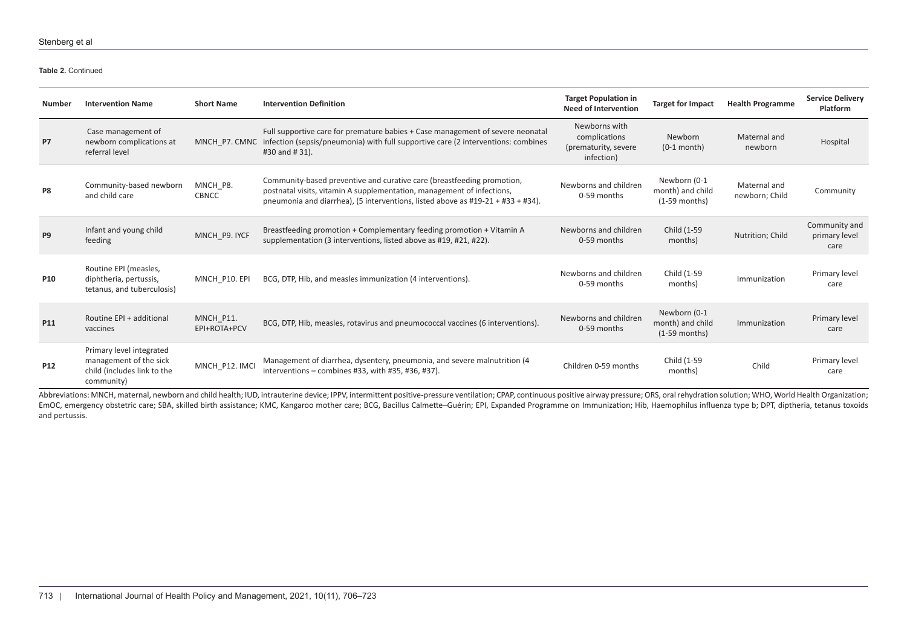**Table 2.** Continued

| <b>Number</b>   | <b>Intervention Name</b>                                                                        | <b>Short Name</b>         | <b>Intervention Definition</b>                                                                                                                                                                                                      | <b>Target Population in</b><br><b>Need of Intervention</b>           | <b>Target for Impact</b>                            | <b>Health Programme</b>        | <b>Service Delivery</b><br><b>Platform</b> |
|-----------------|-------------------------------------------------------------------------------------------------|---------------------------|-------------------------------------------------------------------------------------------------------------------------------------------------------------------------------------------------------------------------------------|----------------------------------------------------------------------|-----------------------------------------------------|--------------------------------|--------------------------------------------|
| <b>P7</b>       | Case management of<br>newborn complications at<br>referral level                                | MNCH P7. CMNC             | Full supportive care for premature babies + Case management of severe neonatal<br>infection (sepsis/pneumonia) with full supportive care (2 interventions: combines<br>#30 and #31).                                                | Newborns with<br>complications<br>(prematurity, severe<br>infection) | Newborn<br>$(0-1$ month)                            | Maternal and<br>newborn        | Hospital                                   |
| P8              | Community-based newborn<br>and child care                                                       | MNCH_P8.<br><b>CBNCC</b>  | Community-based preventive and curative care (breastfeeding promotion,<br>postnatal visits, vitamin A supplementation, management of infections,<br>pneumonia and diarrhea), (5 interventions, listed above as #19-21 + #33 + #34). | Newborns and children<br>0-59 months                                 | Newborn (0-1<br>month) and child<br>$(1-59$ months) | Maternal and<br>newborn; Child | Community                                  |
| P <sub>9</sub>  | Infant and young child<br>feeding                                                               | MNCH_P9. IYCF             | Breastfeeding promotion + Complementary feeding promotion + Vitamin A<br>supplementation (3 interventions, listed above as #19, #21, #22).                                                                                          | Newborns and children<br>0-59 months                                 | Child (1-59<br>months)                              | Nutrition; Child               | Community and<br>primary level<br>care     |
| <b>P10</b>      | Routine EPI (measles,<br>diphtheria, pertussis,<br>tetanus, and tuberculosis)                   | MNCH P10. EPI             | BCG, DTP, Hib, and measles immunization (4 interventions).                                                                                                                                                                          | Newborns and children<br>0-59 months                                 | Child (1-59<br>months)                              | Immunization                   | Primary level<br>care                      |
| P11             | Routine EPI + additional<br>vaccines                                                            | MNCH_P11.<br>EPI+ROTA+PCV | BCG, DTP, Hib, measles, rotavirus and pneumococcal vaccines (6 interventions).                                                                                                                                                      | Newborns and children<br>0-59 months                                 | Newborn (0-1<br>month) and child<br>$(1-59$ months) | Immunization                   | Primary level<br>care                      |
| P <sub>12</sub> | Primary level integrated<br>management of the sick<br>child (includes link to the<br>community) | MNCH_P12. IMCI            | Management of diarrhea, dysentery, pneumonia, and severe malnutrition (4)<br>interventions $-$ combines #33, with #35, #36, #37).                                                                                                   | Children 0-59 months                                                 | Child (1-59<br>months)                              | Child                          | Primary level<br>care                      |

Abbreviations: MNCH, maternal, newborn and child health; IUD, intrauterine device; IPPV, intermittent positive-pressure ventilation; CPAP, continuous positive airway pressure; ORS, oral rehydration solution; WHO, World Hea EmOC, emergency obstetric care; SBA, skilled birth assistance; KMC, Kangaroo mother care; BCG, Bacillus Calmette-Guérin; EPI, Expanded Programme on Immunization; Hib, Haemophilus influenza type b; DPT, diptheria, tetanus t and pertussis.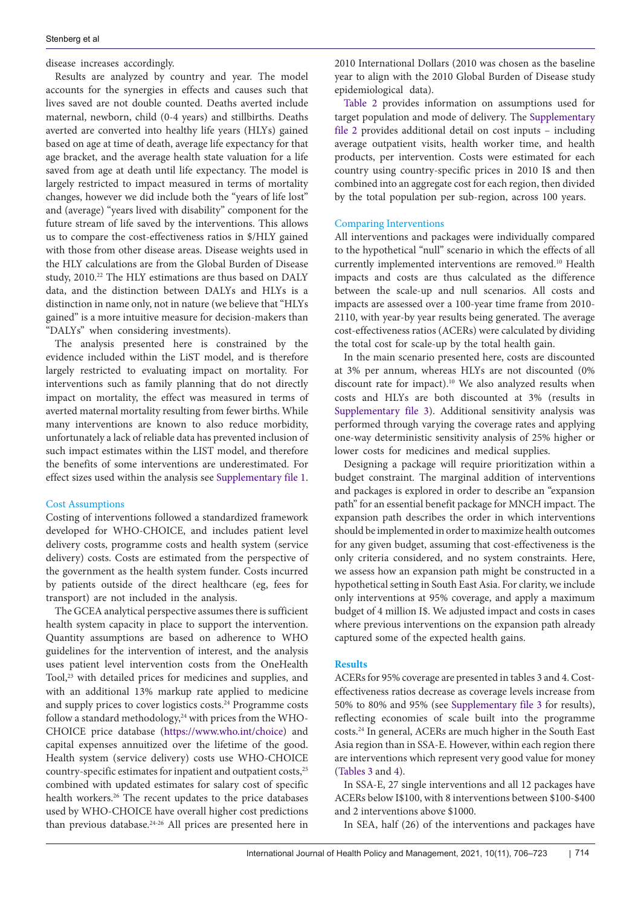disease increases accordingly.

Results are analyzed by country and year. The model accounts for the synergies in effects and causes such that lives saved are not double counted. Deaths averted include maternal, newborn, child (0-4 years) and stillbirths. Deaths averted are converted into healthy life years (HLYs) gained based on age at time of death, average life expectancy for that age bracket, and the average health state valuation for a life saved from age at death until life expectancy. The model is largely restricted to impact measured in terms of mortality changes, however we did include both the "years of life lost" and (average) "years lived with disability" component for the future stream of life saved by the interventions. This allows us to compare the cost-effectiveness ratios in \$/HLY gained with those from other disease areas. Disease weights used in the HLY calculations are from the Global Burden of Disease study, 2010.<sup>22</sup> The HLY estimations are thus based on DALY data, and the distinction between DALYs and HLYs is a distinction in name only, not in nature (we believe that "HLYs gained" is a more intuitive measure for decision-makers than "DALYs" when considering investments).

The analysis presented here is constrained by the evidence included within the LiST model, and is therefore largely restricted to evaluating impact on mortality. For interventions such as family planning that do not directly impact on mortality, the effect was measured in terms of averted maternal mortality resulting from fewer births. While many interventions are known to also reduce morbidity, unfortunately a lack of reliable data has prevented inclusion of such impact estimates within the LIST model, and therefore the benefits of some interventions are underestimated. For effect sizes used within the analysis see [Supplementary file 1](#page-16-0).

#### Cost Assumptions

Costing of interventions followed a standardized framework developed for WHO-CHOICE, and includes patient level delivery costs, programme costs and health system (service delivery) costs. Costs are estimated from the perspective of the government as the health system funder. Costs incurred by patients outside of the direct healthcare (eg, fees for transport) are not included in the analysis.

The GCEA analytical perspective assumes there is sufficient health system capacity in place to support the intervention. Quantity assumptions are based on adherence to WHO guidelines for the intervention of interest, and the analysis uses patient level intervention costs from the OneHealth Tool,<sup>23</sup> with detailed prices for medicines and supplies, and with an additional 13% markup rate applied to medicine and supply prices to cover logistics costs.<sup>24</sup> Programme costs follow a standard methodology, $24$  with prices from the WHO-CHOICE price database [\(https://www.who.int/choice\)](https://www.who.int/choice/) and capital expenses annuitized over the lifetime of the good. Health system (service delivery) costs use WHO-CHOICE country-specific estimates for inpatient and outpatient costs,<sup>25</sup> combined with updated estimates for salary cost of specific health workers.26 The recent updates to the price databases used by WHO-CHOICE have overall higher cost predictions than previous database.24-26 All prices are presented here in

2010 International Dollars (2010 was chosen as the baseline year to align with the 2010 Global Burden of Disease study epidemiological data).

[Table 2](#page-3-0) provides information on assumptions used for target population and mode of delivery. The [Supplementary](#page-16-1)  [file 2](#page-16-1) provides additional detail on cost inputs – including average outpatient visits, health worker time, and health products, per intervention. Costs were estimated for each country using country-specific prices in 2010 I\$ and then combined into an aggregate cost for each region, then divided by the total population per sub-region, across 100 years.

### Comparing Interventions

All interventions and packages were individually compared to the hypothetical "null" scenario in which the effects of all currently implemented interventions are removed.10 Health impacts and costs are thus calculated as the difference between the scale-up and null scenarios. All costs and impacts are assessed over a 100-year time frame from 2010- 2110, with year-by year results being generated. The average cost-effectiveness ratios (ACERs) were calculated by dividing the total cost for scale-up by the total health gain.

In the main scenario presented here, costs are discounted at 3% per annum, whereas HLYs are not discounted (0% discount rate for impact).<sup>10</sup> We also analyzed results when costs and HLYs are both discounted at 3% (results in [Supplementary file 3](#page-16-2)). Additional sensitivity analysis was performed through varying the coverage rates and applying one-way deterministic sensitivity analysis of 25% higher or lower costs for medicines and medical supplies.

Designing a package will require prioritization within a budget constraint. The marginal addition of interventions and packages is explored in order to describe an "expansion path" for an essential benefit package for MNCH impact. The expansion path describes the order in which interventions should be implemented in order to maximize health outcomes for any given budget, assuming that cost-effectiveness is the only criteria considered, and no system constraints. Here, we assess how an expansion path might be constructed in a hypothetical setting in South East Asia. For clarity, we include only interventions at 95% coverage, and apply a maximum budget of 4 million I\$. We adjusted impact and costs in cases where previous interventions on the expansion path already captured some of the expected health gains.

## **Results**

ACERs for 95% coverage are presented in tables 3 and 4. Costeffectiveness ratios decrease as coverage levels increase from 50% to 80% and 95% (see [Supplementary file 3](#page-16-2) for results), reflecting economies of scale built into the programme costs.24 In general, ACERs are much higher in the South East Asia region than in SSA-E. However, within each region there are interventions which represent very good value for money [\(Tables 3](#page-9-0) and [4\)](#page-11-0).

In SSA-E, 27 single interventions and all 12 packages have ACERs below I\$100, with 8 interventions between \$100-\$400 and 2 interventions above \$1000.

In SEA, half (26) of the interventions and packages have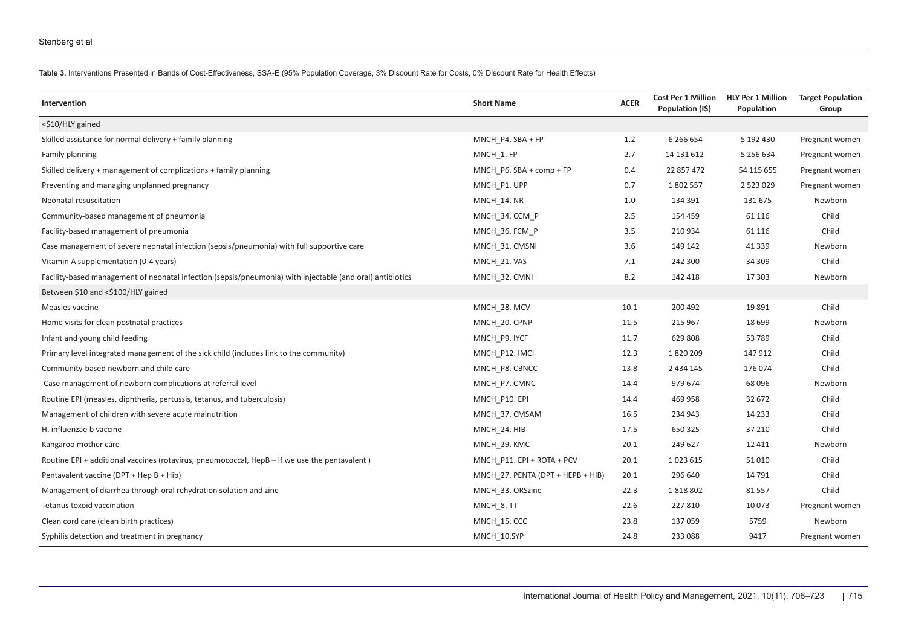**Table 3.** Interventions Presented in Bands of Cost-Effectiveness, SSA-E (95% Population Coverage, 3% Discount Rate for Costs, 0% Discount Rate for Health Effects)

<span id="page-9-0"></span>

| Intervention                                                                                              | <b>Short Name</b>                 | <b>ACER</b> | <b>Cost Per 1 Million</b><br>Population (I\$) | <b>HLY Per 1 Million</b><br>Population | <b>Target Population</b><br>Group |
|-----------------------------------------------------------------------------------------------------------|-----------------------------------|-------------|-----------------------------------------------|----------------------------------------|-----------------------------------|
| <\$10/HLY gained                                                                                          |                                   |             |                                               |                                        |                                   |
| Skilled assistance for normal delivery + family planning                                                  | MNCH P4. SBA + FP                 | 1.2         | 6 2 6 6 5 4                                   | 5 192 430                              | Pregnant women                    |
| Family planning                                                                                           | MNCH 1. FP                        | 2.7         | 14 131 612                                    | 5 256 634                              | Pregnant women                    |
| Skilled delivery + management of complications + family planning                                          | MNCH P6. SBA + comp + FP          | 0.4         | 22 857 472                                    | 54 115 655                             | Pregnant women                    |
| Preventing and managing unplanned pregnancy                                                               | MNCH P1. UPP                      | 0.7         | 1802557                                       | 2523029                                | Pregnant women                    |
| Neonatal resuscitation                                                                                    | MNCH 14. NR                       | 1.0         | 134 391                                       | 131 675                                | Newborn                           |
| Community-based management of pneumonia                                                                   | MNCH 34. CCM P                    | 2.5         | 154 459                                       | 61 116                                 | Child                             |
| Facility-based management of pneumonia                                                                    | MNCH 36. FCM P                    | 3.5         | 210934                                        | 61 116                                 | Child                             |
| Case management of severe neonatal infection (sepsis/pneumonia) with full supportive care                 | MNCH 31. CMSNI                    | 3.6         | 149 142                                       | 41 3 3 9                               | Newborn                           |
| Vitamin A supplementation (0-4 years)                                                                     | MNCH 21. VAS                      | 7.1         | 242 300                                       | 34 309                                 | Child                             |
| Facility-based management of neonatal infection (sepsis/pneumonia) with injectable (and oral) antibiotics | MNCH 32. CMNI                     | 8.2         | 142 418                                       | 17 303                                 | Newborn                           |
| Between \$10 and <\$100/HLY gained                                                                        |                                   |             |                                               |                                        |                                   |
| Measles vaccine                                                                                           | MNCH_28. MCV                      | 10.1        | 200 492                                       | 19891                                  | Child                             |
| Home visits for clean postnatal practices                                                                 | MNCH 20. CPNP                     | 11.5        | 215 967                                       | 18 699                                 | Newborn                           |
| Infant and young child feeding                                                                            | MNCH_P9. IYCF                     | 11.7        | 629808                                        | 53 789                                 | Child                             |
| Primary level integrated management of the sick child (includes link to the community)                    | MNCH P12. IMCI                    | 12.3        | 1820209                                       | 147912                                 | Child                             |
| Community-based newborn and child care                                                                    | MNCH P8. CBNCC                    | 13.8        | 2 4 3 4 1 4 5                                 | 176074                                 | Child                             |
| Case management of newborn complications at referral level                                                | MNCH P7. CMNC                     | 14.4        | 979 674                                       | 68 096                                 | Newborn                           |
| Routine EPI (measles, diphtheria, pertussis, tetanus, and tuberculosis)                                   | MNCH P10. EPI                     | 14.4        | 469 958                                       | 32 672                                 | Child                             |
| Management of children with severe acute malnutrition                                                     | MNCH 37. CMSAM                    | 16.5        | 234 943                                       | 14 2 3 3                               | Child                             |
| H. influenzae b vaccine                                                                                   | MNCH 24. HIB                      | 17.5        | 650 325                                       | 37 210                                 | Child                             |
| Kangaroo mother care                                                                                      | MNCH 29. KMC                      | 20.1        | 249 627                                       | 12 4 11                                | Newborn                           |
| Routine EPI + additional vaccines (rotavirus, pneumococcal, HepB – if we use the pentavalent)             | MNCH P11. EPI + ROTA + PCV        | 20.1        | 1023615                                       | 51010                                  | Child                             |
| Pentavalent vaccine (DPT + Hep B + Hib)                                                                   | MNCH_27. PENTA (DPT + HEPB + HIB) | 20.1        | 296 640                                       | 14 791                                 | Child                             |
| Management of diarrhea through oral rehydration solution and zinc                                         | MNCH 33. ORSzinc                  | 22.3        | 1818802                                       | 81 557                                 | Child                             |
| Tetanus toxoid vaccination                                                                                | MNCH 8. TT                        | 22.6        | 227810                                        | 10073                                  | Pregnant women                    |
| Clean cord care (clean birth practices)                                                                   | MNCH 15. CCC                      | 23.8        | 137059                                        | 5759                                   | Newborn                           |
| Syphilis detection and treatment in pregnancy                                                             | MNCH 10.SYP                       | 24.8        | 233 088                                       | 9417                                   | Pregnant women                    |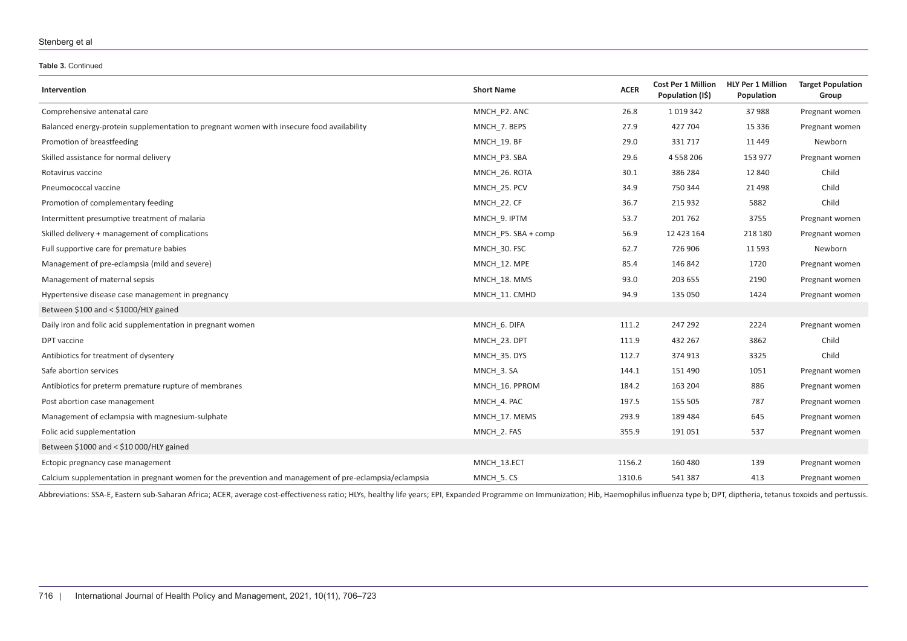#### **Table 3.** Continued

| Intervention                                                                                           | <b>Short Name</b>   | <b>ACER</b> | <b>Cost Per 1 Million</b><br>Population (I\$) | <b>HLY Per 1 Million</b><br>Population | <b>Target Population</b><br>Group |
|--------------------------------------------------------------------------------------------------------|---------------------|-------------|-----------------------------------------------|----------------------------------------|-----------------------------------|
| Comprehensive antenatal care                                                                           | MNCH P2. ANC        | 26.8        | 1019342                                       | 37988                                  | Pregnant women                    |
| Balanced energy-protein supplementation to pregnant women with insecure food availability              | MNCH 7. BEPS        | 27.9        | 427704                                        | 15 3 36                                | Pregnant women                    |
| Promotion of breastfeeding                                                                             | MNCH 19. BF         | 29.0        | 331717                                        | 11 449                                 | Newborn                           |
| Skilled assistance for normal delivery                                                                 | MNCH P3. SBA        | 29.6        | 4558206                                       | 153 977                                | Pregnant women                    |
| Rotavirus vaccine                                                                                      | MNCH 26. ROTA       | 30.1        | 386 284                                       | 12 840                                 | Child                             |
| Pneumococcal vaccine                                                                                   | MNCH 25. PCV        | 34.9        | 750 344                                       | 21 4 98                                | Child                             |
| Promotion of complementary feeding                                                                     | MNCH 22. CF         | 36.7        | 215 932                                       | 5882                                   | Child                             |
| Intermittent presumptive treatment of malaria                                                          | MNCH_9. IPTM        | 53.7        | 201762                                        | 3755                                   | Pregnant women                    |
| Skilled delivery + management of complications                                                         | MNCH P5. SBA + comp | 56.9        | 12 423 164                                    | 218 180                                | Pregnant women                    |
| Full supportive care for premature babies                                                              | MNCH 30. FSC        | 62.7        | 726 906                                       | 11 5 93                                | Newborn                           |
| Management of pre-eclampsia (mild and severe)                                                          | MNCH 12. MPE        | 85.4        | 146 842                                       | 1720                                   | Pregnant women                    |
| Management of maternal sepsis                                                                          | MNCH 18. MMS        | 93.0        | 203 655                                       | 2190                                   | Pregnant women                    |
| Hypertensive disease case management in pregnancy                                                      | MNCH 11. CMHD       | 94.9        | 135 050                                       | 1424                                   | Pregnant women                    |
| Between $$100$ and < $$1000$ /HLY gained                                                               |                     |             |                                               |                                        |                                   |
| Daily iron and folic acid supplementation in pregnant women                                            | MNCH 6. DIFA        | 111.2       | 247 292                                       | 2224                                   | Pregnant women                    |
| DPT vaccine                                                                                            | MNCH 23. DPT        | 111.9       | 432 267                                       | 3862                                   | Child                             |
| Antibiotics for treatment of dysentery                                                                 | MNCH 35. DYS        | 112.7       | 374 913                                       | 3325                                   | Child                             |
| Safe abortion services                                                                                 | MNCH 3. SA          | 144.1       | 151 490                                       | 1051                                   | Pregnant women                    |
| Antibiotics for preterm premature rupture of membranes                                                 | MNCH 16. PPROM      | 184.2       | 163 204                                       | 886                                    | Pregnant women                    |
| Post abortion case management                                                                          | MNCH 4. PAC         | 197.5       | 155 505                                       | 787                                    | Pregnant women                    |
| Management of eclampsia with magnesium-sulphate                                                        | MNCH 17. MEMS       | 293.9       | 189 484                                       | 645                                    | Pregnant women                    |
| Folic acid supplementation                                                                             | MNCH 2. FAS         | 355.9       | 191051                                        | 537                                    | Pregnant women                    |
| Between \$1000 and < \$10 000/HLY gained                                                               |                     |             |                                               |                                        |                                   |
| Ectopic pregnancy case management                                                                      | MNCH 13.ECT         | 1156.2      | 160 480                                       | 139                                    | Pregnant women                    |
| Calcium supplementation in pregnant women for the prevention and management of pre-eclampsia/eclampsia | MNCH 5. CS          | 1310.6      | 541387                                        | 413                                    | Pregnant women                    |

Abbreviations: SSA-E, Eastern sub-Saharan Africa; ACER, average cost-effectiveness ratio; HLYs, healthy life years; EPI, Expanded Programme on Immunization; Hib, Haemophilus influenza type b; DPT, diptheria, tetanus toxoid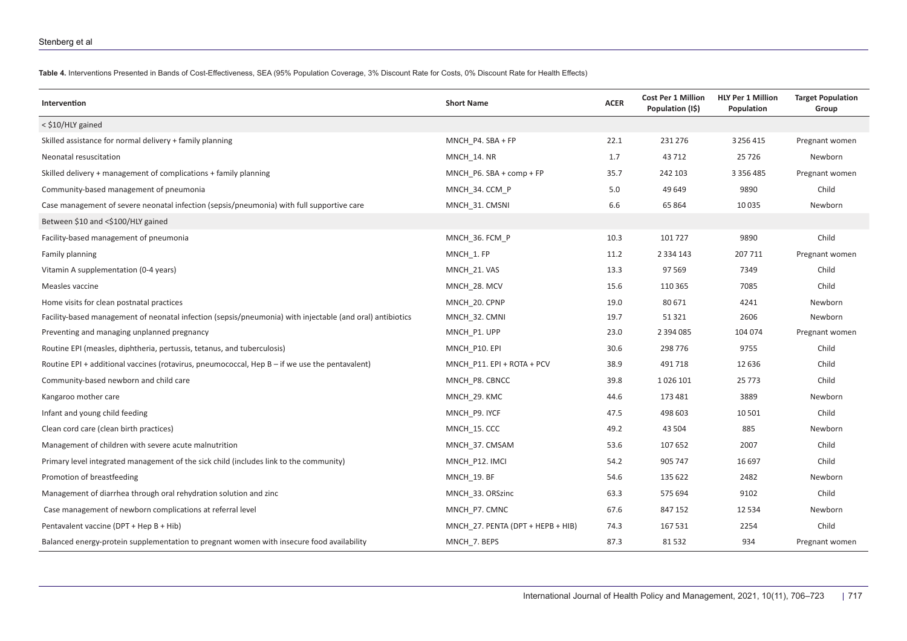**Table 4.** Interventions Presented in Bands of Cost-Effectiveness, SEA (95% Population Coverage, 3% Discount Rate for Costs, 0% Discount Rate for Health Effects)

<span id="page-11-0"></span>

| Intervention                                                                                              | <b>Short Name</b>                 | <b>ACER</b> | <b>Cost Per 1 Million</b><br>Population (I\$) | <b>HLY Per 1 Million</b><br>Population | <b>Target Population</b><br>Group |
|-----------------------------------------------------------------------------------------------------------|-----------------------------------|-------------|-----------------------------------------------|----------------------------------------|-----------------------------------|
| < \$10/HLY gained                                                                                         |                                   |             |                                               |                                        |                                   |
| Skilled assistance for normal delivery + family planning                                                  | MNCH P4. SBA + FP                 | 22.1        | 231 276                                       | 3256415                                | Pregnant women                    |
| Neonatal resuscitation                                                                                    | MNCH 14. NR                       | 1.7         | 43712                                         | 25726                                  | Newborn                           |
| Skilled delivery + management of complications + family planning                                          | MNCH P6. SBA + comp + FP          | 35.7        | 242 103                                       | 3 3 5 6 4 8 5                          | Pregnant women                    |
| Community-based management of pneumonia                                                                   | MNCH 34. CCM P                    | 5.0         | 49 649                                        | 9890                                   | Child                             |
| Case management of severe neonatal infection (sepsis/pneumonia) with full supportive care                 | MNCH 31. CMSNI                    | 6.6         | 65 864                                        | 10 0 35                                | <b>Newborn</b>                    |
| Between \$10 and <\$100/HLY gained                                                                        |                                   |             |                                               |                                        |                                   |
| Facility-based management of pneumonia                                                                    | MNCH 36. FCM P                    | 10.3        | 101727                                        | 9890                                   | Child                             |
| Family planning                                                                                           | MNCH 1. FP                        | 11.2        | 2 3 3 4 1 4 3                                 | 207 711                                | Pregnant women                    |
| Vitamin A supplementation (0-4 years)                                                                     | MNCH 21. VAS                      | 13.3        | 97 569                                        | 7349                                   | Child                             |
| Measles vaccine                                                                                           | MNCH 28. MCV                      | 15.6        | 110 365                                       | 7085                                   | Child                             |
| Home visits for clean postnatal practices                                                                 | MNCH 20. CPNP                     | 19.0        | 80 671                                        | 4241                                   | Newborn                           |
| Facility-based management of neonatal infection (sepsis/pneumonia) with injectable (and oral) antibiotics | MNCH 32. CMNI                     | 19.7        | 51 321                                        | 2606                                   | <b>Newborn</b>                    |
| Preventing and managing unplanned pregnancy                                                               | MNCH P1. UPP                      | 23.0        | 2 3 9 4 0 8 5                                 | 104 074                                | Pregnant women                    |
| Routine EPI (measles, diphtheria, pertussis, tetanus, and tuberculosis)                                   | MNCH P10. EPI                     | 30.6        | 298 776                                       | 9755                                   | Child                             |
| Routine EPI + additional vaccines (rotavirus, pneumococcal, Hep B - if we use the pentavalent)            | MNCH P11. EPI + ROTA + PCV        | 38.9        | 491718                                        | 12 6 3 6                               | Child                             |
| Community-based newborn and child care                                                                    | MNCH P8. CBNCC                    | 39.8        | 1026 101                                      | 25 7 7 3                               | Child                             |
| Kangaroo mother care                                                                                      | MNCH 29. KMC                      | 44.6        | 173 481                                       | 3889                                   | Newborn                           |
| Infant and young child feeding                                                                            | MNCH P9. IYCF                     | 47.5        | 498 603                                       | 10501                                  | Child                             |
| Clean cord care (clean birth practices)                                                                   | MNCH 15. CCC                      | 49.2        | 43 504                                        | 885                                    | Newborn                           |
| Management of children with severe acute malnutrition                                                     | MNCH 37. CMSAM                    | 53.6        | 107 652                                       | 2007                                   | Child                             |
| Primary level integrated management of the sick child (includes link to the community)                    | MNCH P12. IMCI                    | 54.2        | 905 747                                       | 16 697                                 | Child                             |
| Promotion of breastfeeding                                                                                | MNCH_19. BF                       | 54.6        | 135 622                                       | 2482                                   | Newborn                           |
| Management of diarrhea through oral rehydration solution and zinc                                         | MNCH 33. ORSzinc                  | 63.3        | 575 694                                       | 9102                                   | Child                             |
| Case management of newborn complications at referral level                                                | MNCH_P7. CMNC                     | 67.6        | 847 152                                       | 12 5 3 4                               | Newborn                           |
| Pentavalent vaccine (DPT + Hep B + Hib)                                                                   | MNCH 27. PENTA (DPT + HEPB + HIB) | 74.3        | 167 531                                       | 2254                                   | Child                             |
| Balanced energy-protein supplementation to pregnant women with insecure food availability                 | MNCH_7. BEPS                      | 87.3        | 81532                                         | 934                                    | Pregnant women                    |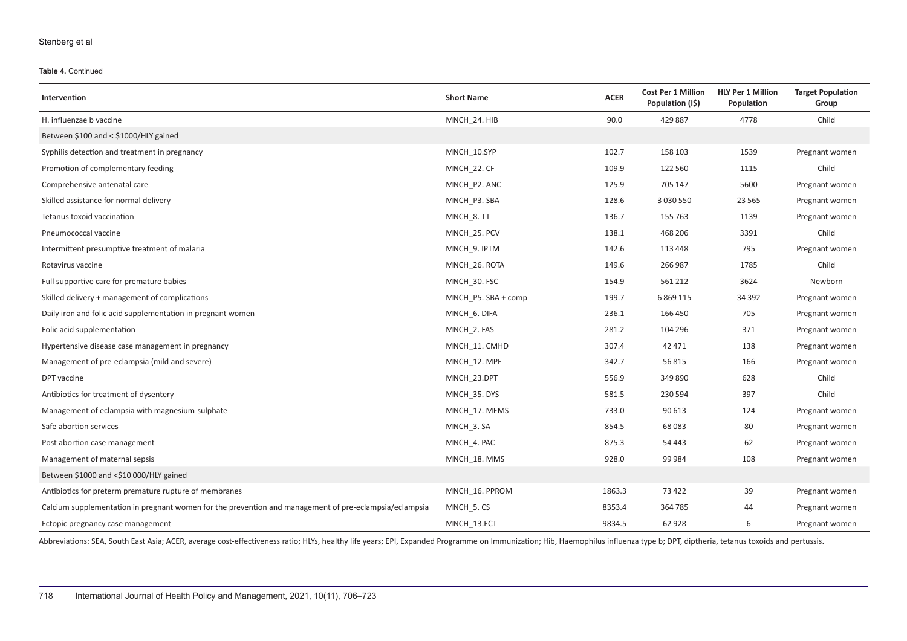#### **Table 4.** Continued

| Intervention                                                                                           | <b>Short Name</b>   | <b>ACER</b> | <b>Cost Per 1 Million</b><br>Population (I\$) | <b>HLY Per 1 Million</b><br>Population | <b>Target Population</b><br>Group |
|--------------------------------------------------------------------------------------------------------|---------------------|-------------|-----------------------------------------------|----------------------------------------|-----------------------------------|
| H. influenzae b vaccine                                                                                | MNCH_24. HIB        | 90.0        | 429 887                                       | 4778                                   | Child                             |
| Between \$100 and < \$1000/HLY gained                                                                  |                     |             |                                               |                                        |                                   |
| Syphilis detection and treatment in pregnancy                                                          | MNCH 10.SYP         | 102.7       | 158 103                                       | 1539                                   | Pregnant women                    |
| Promotion of complementary feeding                                                                     | MNCH 22. CF         | 109.9       | 122 560                                       | 1115                                   | Child                             |
| Comprehensive antenatal care                                                                           | MNCH P2. ANC        | 125.9       | 705 147                                       | 5600                                   | Pregnant women                    |
| Skilled assistance for normal delivery                                                                 | MNCH P3. SBA        | 128.6       | 3 0 3 0 5 5 0                                 | 23 5 65                                | Pregnant women                    |
| Tetanus toxoid vaccination                                                                             | MNCH 8. TT          | 136.7       | 155 763                                       | 1139                                   | Pregnant women                    |
| Pneumococcal vaccine                                                                                   | MNCH_25. PCV        | 138.1       | 468 206                                       | 3391                                   | Child                             |
| Intermittent presumptive treatment of malaria                                                          | MNCH 9. IPTM        | 142.6       | 113 448                                       | 795                                    | Pregnant women                    |
| Rotavirus vaccine                                                                                      | MNCH 26. ROTA       | 149.6       | 266 987                                       | 1785                                   | Child                             |
| Full supportive care for premature babies                                                              | MNCH 30. FSC        | 154.9       | 561 212                                       | 3624                                   | Newborn                           |
| Skilled delivery + management of complications                                                         | MNCH P5. SBA + comp | 199.7       | 6 8 6 9 1 1 5                                 | 34 3 92                                | Pregnant women                    |
| Daily iron and folic acid supplementation in pregnant women                                            | MNCH 6. DIFA        | 236.1       | 166 450                                       | 705                                    | Pregnant women                    |
| Folic acid supplementation                                                                             | MNCH 2. FAS         | 281.2       | 104 296                                       | 371                                    | Pregnant women                    |
| Hypertensive disease case management in pregnancy                                                      | MNCH 11. CMHD       | 307.4       | 42 471                                        | 138                                    | Pregnant women                    |
| Management of pre-eclampsia (mild and severe)                                                          | MNCH 12. MPE        | 342.7       | 56 815                                        | 166                                    | Pregnant women                    |
| DPT vaccine                                                                                            | MNCH_23.DPT         | 556.9       | 349 890                                       | 628                                    | Child                             |
| Antibiotics for treatment of dysentery                                                                 | MNCH 35. DYS        | 581.5       | 230 594                                       | 397                                    | Child                             |
| Management of eclampsia with magnesium-sulphate                                                        | MNCH 17. MEMS       | 733.0       | 90 613                                        | 124                                    | Pregnant women                    |
| Safe abortion services                                                                                 | MNCH 3. SA          | 854.5       | 68 083                                        | 80                                     | Pregnant women                    |
| Post abortion case management                                                                          | MNCH 4. PAC         | 875.3       | 54 443                                        | 62                                     | Pregnant women                    |
| Management of maternal sepsis                                                                          | MNCH_18. MMS        | 928.0       | 99 984                                        | 108                                    | Pregnant women                    |
| Between \$1000 and <\$10 000/HLY gained                                                                |                     |             |                                               |                                        |                                   |
| Antibiotics for preterm premature rupture of membranes                                                 | MNCH 16. PPROM      | 1863.3      | 73 422                                        | 39                                     | Pregnant women                    |
| Calcium supplementation in pregnant women for the prevention and management of pre-eclampsia/eclampsia | MNCH 5. CS          | 8353.4      | 364785                                        | 44                                     | Pregnant women                    |
| Ectopic pregnancy case management                                                                      | MNCH_13.ECT         | 9834.5      | 62 928                                        | 6                                      | Pregnant women                    |

Abbreviations: SEA, South East Asia; ACER, average cost-effectiveness ratio; HLYs, healthy life years; EPI, Expanded Programme on Immunization; Hib, Haemophilus influenza type b; DPT, diptheria, tetanus toxoids and pertuss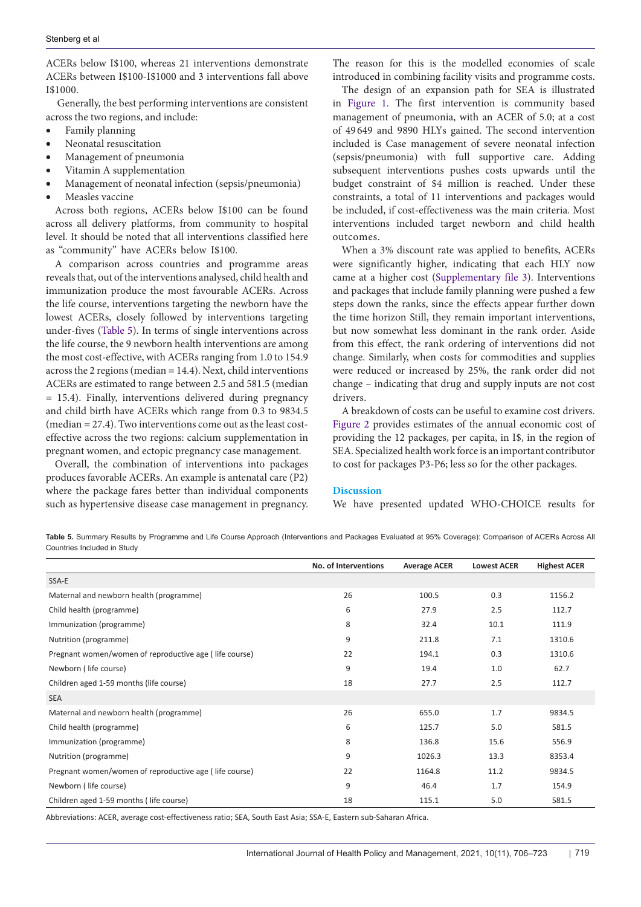ACERs below I\$100, whereas 21 interventions demonstrate ACERs between I\$100-I\$1000 and 3 interventions fall above I\$1000.

 Generally, the best performing interventions are consistent across the two regions, and include:

- • Family planning
- Neonatal resuscitation
- Management of pneumonia
- Vitamin A supplementation
- Management of neonatal infection (sepsis/pneumonia)
- Measles vaccine

Across both regions, ACERs below I\$100 can be found across all delivery platforms, from community to hospital level. It should be noted that all interventions classified here "community" have ACERs below I\$100.

A comparison across countries and programme areas reveals that, out of the interventions analysed, child health and immunization produce the most favourable ACERs. Across the life course, interventions targeting the newborn have the lowest ACERs, closely followed by interventions targeting under-fives [\(Table 5](#page-13-0)). In terms of single interventions across the life course, the 9 newborn health interventions are among the most cost-effective, with ACERs ranging from 1.0 to 154.9 across the 2 regions (median = 14.4). Next, child interventions ACERs are estimated to range between 2.5 and 581.5 (median = 15.4). Finally, interventions delivered during pregnancy and child birth have ACERs which range from 0.3 to 9834.5 (median = 27.4). Two interventions come out as the least costeffective across the two regions: calcium supplementation in pregnant women, and ectopic pregnancy case management.

Overall, the combination of interventions into packages produces favorable ACERs. An example is antenatal care (P2) where the package fares better than individual components such as hypertensive disease case management in pregnancy.

The reason for this is the modelled economies of scale introduced in combining facility visits and programme costs.

The design of an expansion path for SEA is illustrated in [Figure 1](#page-14-0). The first intervention is community based management of pneumonia, with an ACER of 5.0; at a cost of 49 649 and 9890 HLYs gained. The second intervention included is Case management of severe neonatal infection (sepsis/pneumonia) with full supportive care. Adding subsequent interventions pushes costs upwards until the budget constraint of \$4 million is reached. Under these constraints, a total of 11 interventions and packages would be included, if cost-effectiveness was the main criteria. Most interventions included target newborn and child health outcomes.

When a 3% discount rate was applied to benefits, ACERs were significantly higher, indicating that each HLY now came at a higher cost ([Supplementary file 3\)](#page-16-2). Interventions and packages that include family planning were pushed a few steps down the ranks, since the effects appear further down the time horizon Still, they remain important interventions, but now somewhat less dominant in the rank order. Aside from this effect, the rank ordering of interventions did not change. Similarly, when costs for commodities and supplies were reduced or increased by 25%, the rank order did not change – indicating that drug and supply inputs are not cost drivers.

A breakdown of costs can be useful to examine cost drivers. [Figure 2](#page-15-0) provides estimates of the annual economic cost of providing the 12 packages, per capita, in I\$, in the region of SEA. Specialized health work force is an important contributor to cost for packages P3-P6; less so for the other packages.

# **Discussion**

We have presented updated WHO-CHOICE results for

<span id="page-13-0"></span>**Table 5.** Summary Results by Programme and Life Course Approach (Interventions and Packages Evaluated at 95% Coverage): Comparison of ACERs Across All Countries Included in Study

|                                                        | No. of Interventions | <b>Average ACER</b> | <b>Lowest ACER</b> | <b>Highest ACER</b> |
|--------------------------------------------------------|----------------------|---------------------|--------------------|---------------------|
| SSA-E                                                  |                      |                     |                    |                     |
| Maternal and newborn health (programme)                | 26                   | 100.5               | 0.3                | 1156.2              |
| Child health (programme)                               | 6                    | 27.9                | 2.5                | 112.7               |
| Immunization (programme)                               | 8                    | 32.4                | 10.1               | 111.9               |
| Nutrition (programme)                                  | 9                    | 211.8               | 7.1                | 1310.6              |
| Pregnant women/women of reproductive age (life course) | 22                   | 194.1               | 0.3                | 1310.6              |
| Newborn (life course)                                  | 9                    | 19.4                | 1.0                | 62.7                |
| Children aged 1-59 months (life course)                | 18                   | 27.7                | 2.5                | 112.7               |
| <b>SEA</b>                                             |                      |                     |                    |                     |
| Maternal and newborn health (programme)                | 26                   | 655.0               | 1.7                | 9834.5              |
| Child health (programme)                               | 6                    | 125.7               | 5.0                | 581.5               |
| Immunization (programme)                               | 8                    | 136.8               | 15.6               | 556.9               |
| Nutrition (programme)                                  | 9                    | 1026.3              | 13.3               | 8353.4              |
| Pregnant women/women of reproductive age (life course) | 22                   | 1164.8              | 11.2               | 9834.5              |
| Newborn (life course)                                  | 9                    | 46.4                | 1.7                | 154.9               |
| Children aged 1-59 months (life course)                | 18                   | 115.1               | 5.0                | 581.5               |

Abbreviations: ACER, average cost-effectiveness ratio; SEA, South East Asia; SSA-E, Eastern sub-Saharan Africa.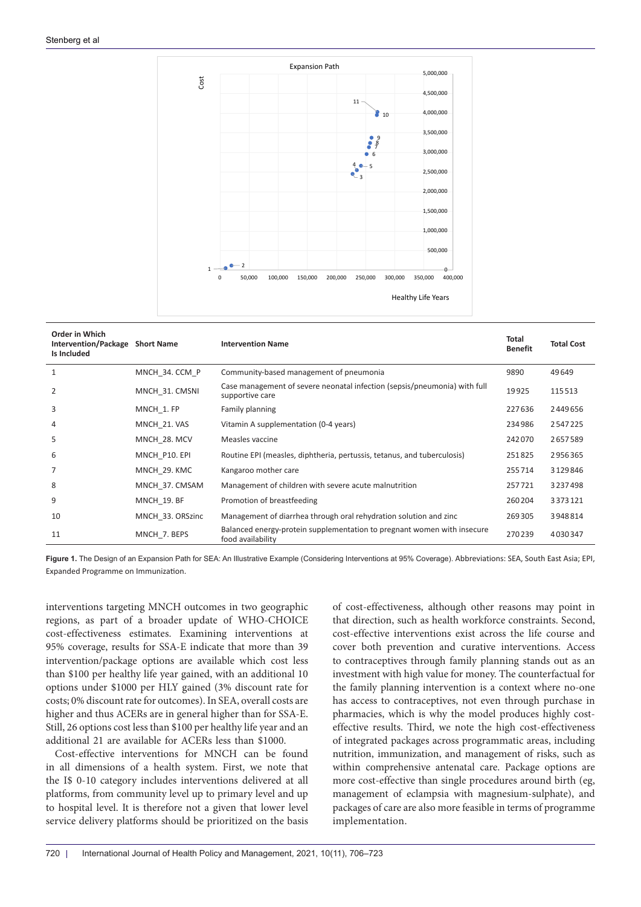<span id="page-14-0"></span>

| Order in Which<br><b>Intervention/Package</b><br>Is Included | <b>Short Name</b> | <b>Intervention Name</b>                                                                     | Total<br><b>Benefit</b> | <b>Total Cost</b> |
|--------------------------------------------------------------|-------------------|----------------------------------------------------------------------------------------------|-------------------------|-------------------|
| 1                                                            | MNCH 34. CCM P    | Community-based management of pneumonia                                                      | 9890                    | 49649             |
| 2                                                            | MNCH 31. CMSNI    | Case management of severe neonatal infection (sepsis/pneumonia) with full<br>supportive care | 19925                   | 115513            |
| 3                                                            | MNCH 1. FP        | Family planning                                                                              | 227636                  | 2449656           |
| 4                                                            | MNCH 21. VAS      | Vitamin A supplementation (0-4 years)                                                        | 234986                  | 2547225           |
| 5                                                            | MNCH 28. MCV      | Measles vaccine                                                                              | 242070                  | 2657589           |
| 6                                                            | MNCH P10. EPI     | Routine EPI (measles, diphtheria, pertussis, tetanus, and tuberculosis)                      | 251825                  | 2956365           |
| $\overline{7}$                                               | MNCH 29. KMC      | Kangaroo mother care                                                                         | 255714                  | 3129846           |
| 8                                                            | MNCH 37. CMSAM    | Management of children with severe acute malnutrition                                        | 257721                  | 3237498           |
| 9                                                            | MNCH 19. BF       | Promotion of breastfeeding                                                                   | 260204                  | 3373121           |
| 10                                                           | MNCH_33. ORSzinc  | Management of diarrhea through oral rehydration solution and zinc                            | 269305                  | 3948814           |
| 11                                                           | MNCH 7. BEPS      | Balanced energy-protein supplementation to pregnant women with insecure<br>food availability | 270239                  | 4030347           |

**Figure 1.** The Design of an Expansion Path for SEA: An Illustrative Example (Considering Interventions at 95% Coverage). Abbreviations: SEA, South East Asia; EPI, Expanded Programme on Immunization.

interventions targeting MNCH outcomes in two geographic regions, as part of a broader update of WHO-CHOICE cost-effectiveness estimates. Examining interventions at 95% coverage, results for SSA-E indicate that more than 39 intervention/package options are available which cost less than \$100 per healthy life year gained, with an additional 10 options under \$1000 per HLY gained (3% discount rate for costs; 0% discount rate for outcomes). In SEA, overall costs are higher and thus ACERs are in general higher than for SSA-E. Still, 26 options cost less than \$100 per healthy life year and an additional 21 are available for ACERs less than \$1000.

Cost-effective interventions for MNCH can be found in all dimensions of a health system. First, we note that the I\$ 0-10 category includes interventions delivered at all platforms, from community level up to primary level and up to hospital level. It is therefore not a given that lower level service delivery platforms should be prioritized on the basis

of cost-effectiveness, although other reasons may point in that direction, such as health workforce constraints. Second, cost-effective interventions exist across the life course and cover both prevention and curative interventions. Access to contraceptives through family planning stands out as an investment with high value for money. The counterfactual for the family planning intervention is a context where no-one has access to contraceptives, not even through purchase in pharmacies, which is why the model produces highly costeffective results. Third, we note the high cost-effectiveness of integrated packages across programmatic areas, including nutrition, immunization, and management of risks, such as within comprehensive antenatal care. Package options are more cost-effective than single procedures around birth (eg, management of eclampsia with magnesium-sulphate), and packages of care are also more feasible in terms of programme implementation.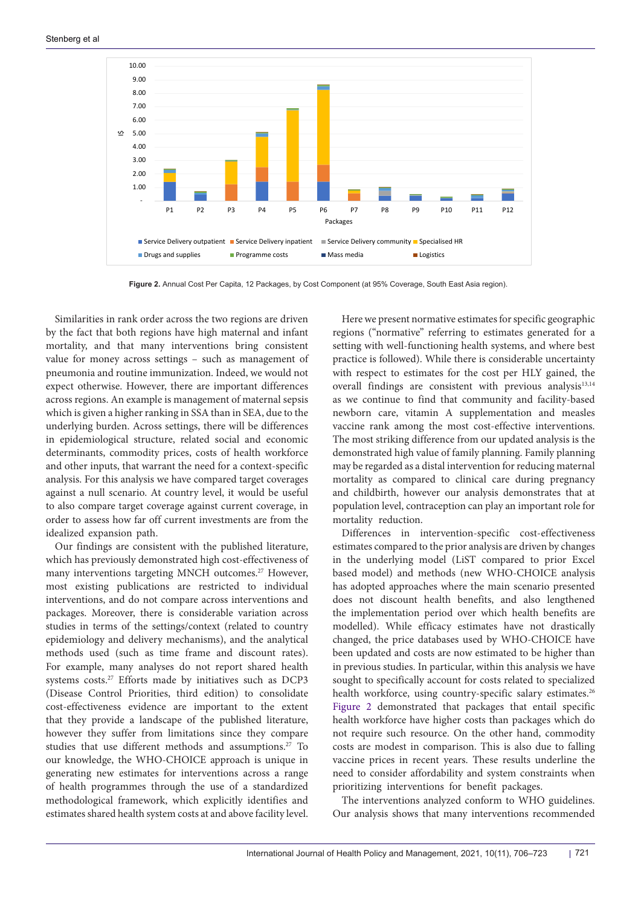<span id="page-15-0"></span>

**Figure 2.** Annual Cost Per Capita, 12 Packages, by Cost Component (at 95% Coverage, South East Asia region).

Similarities in rank order across the two regions are driven by the fact that both regions have high maternal and infant mortality, and that many interventions bring consistent value for money across settings – such as management of pneumonia and routine immunization. Indeed, we would not expect otherwise. However, there are important differences across regions. An example is management of maternal sepsis which is given a higher ranking in SSA than in SEA, due to the underlying burden. Across settings, there will be differences in epidemiological structure, related social and economic determinants, commodity prices, costs of health workforce and other inputs, that warrant the need for a context-specific analysis. For this analysis we have compared target coverages against a null scenario. At country level, it would be useful to also compare target coverage against current coverage, in order to assess how far off current investments are from the idealized expansion path.

Our findings are consistent with the published literature, which has previously demonstrated high cost-effectiveness of many interventions targeting MNCH outcomes.<sup>27</sup> However, most existing publications are restricted to individual interventions, and do not compare across interventions and packages. Moreover, there is considerable variation across studies in terms of the settings/context (related to country epidemiology and delivery mechanisms), and the analytical methods used (such as time frame and discount rates). For example, many analyses do not report shared health systems costs.27 Efforts made by initiatives such as DCP3 (Disease Control Priorities, third edition) to consolidate cost-effectiveness evidence are important to the extent that they provide a landscape of the published literature, however they suffer from limitations since they compare studies that use different methods and assumptions.<sup>27</sup> To our knowledge, the WHO-CHOICE approach is unique in generating new estimates for interventions across a range of health programmes through the use of a standardized methodological framework, which explicitly identifies and estimates shared health system costs at and above facility level.

Here we present normative estimates for specific geographic regions ("normative" referring to estimates generated for a setting with well-functioning health systems, and where best practice is followed). While there is considerable uncertainty with respect to estimates for the cost per HLY gained, the overall findings are consistent with previous analysis<sup>13,14</sup> as we continue to find that community and facility-based newborn care, vitamin A supplementation and measles vaccine rank among the most cost-effective interventions. The most striking difference from our updated analysis is the demonstrated high value of family planning. Family planning may be regarded as a distal intervention for reducing maternal mortality as compared to clinical care during pregnancy and childbirth, however our analysis demonstrates that at population level, contraception can play an important role for mortality reduction.

Differences in intervention-specific cost-effectiveness estimates compared to the prior analysis are driven by changes in the underlying model (LiST compared to prior Excel based model) and methods (new WHO-CHOICE analysis has adopted approaches where the main scenario presented does not discount health benefits, and also lengthened the implementation period over which health benefits are modelled). While efficacy estimates have not drastically changed, the price databases used by WHO-CHOICE have been updated and costs are now estimated to be higher than in previous studies. In particular, within this analysis we have sought to specifically account for costs related to specialized health workforce, using country-specific salary estimates.<sup>26</sup> [Figure 2](#page-15-0) demonstrated that packages that entail specific health workforce have higher costs than packages which do not require such resource. On the other hand, commodity costs are modest in comparison. This is also due to falling vaccine prices in recent years. These results underline the need to consider affordability and system constraints when prioritizing interventions for benefit packages.

The interventions analyzed conform to WHO guidelines. Our analysis shows that many interventions recommended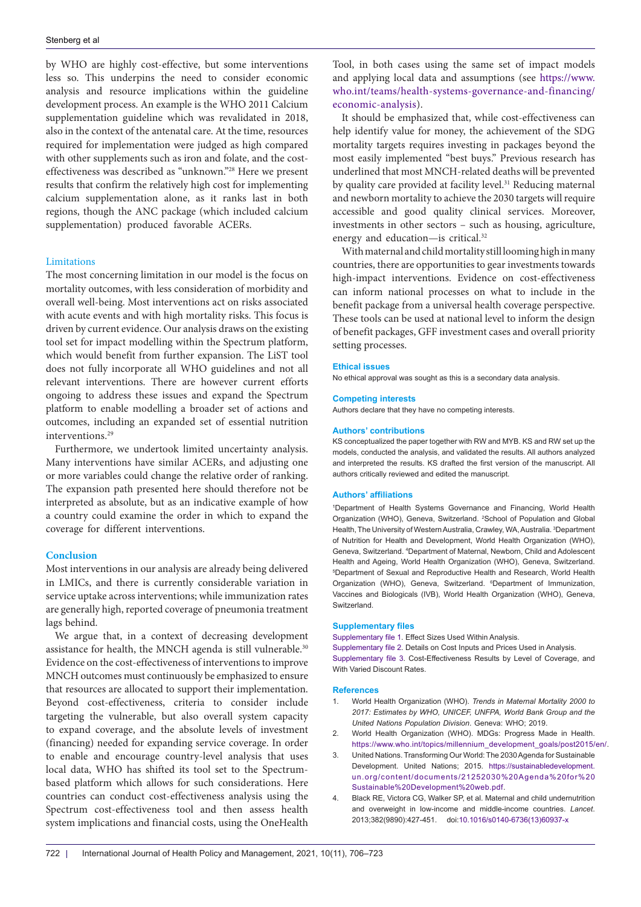by WHO are highly cost-effective, but some interventions less so. This underpins the need to consider economic analysis and resource implications within the guideline development process. An example is the WHO 2011 Calcium supplementation guideline which was revalidated in 2018, also in the context of the antenatal care. At the time, resources required for implementation were judged as high compared with other supplements such as iron and folate, and the costeffectiveness was described as "unknown."28 Here we present results that confirm the relatively high cost for implementing calcium supplementation alone, as it ranks last in both regions, though the ANC package (which included calcium supplementation) produced favorable ACERs.

## Limitations

The most concerning limitation in our model is the focus on mortality outcomes, with less consideration of morbidity and overall well-being. Most interventions act on risks associated with acute events and with high mortality risks. This focus is driven by current evidence. Our analysis draws on the existing tool set for impact modelling within the Spectrum platform, which would benefit from further expansion. The LiST tool does not fully incorporate all WHO guidelines and not all relevant interventions. There are however current efforts ongoing to address these issues and expand the Spectrum platform to enable modelling a broader set of actions and outcomes, including an expanded set of essential nutrition interventions.<sup>29</sup>

Furthermore, we undertook limited uncertainty analysis. Many interventions have similar ACERs, and adjusting one or more variables could change the relative order of ranking. The expansion path presented here should therefore not be interpreted as absolute, but as an indicative example of how a country could examine the order in which to expand the coverage for different interventions.

## **Conclusion**

Most interventions in our analysis are already being delivered in LMICs, and there is currently considerable variation in service uptake across interventions; while immunization rates are generally high, reported coverage of pneumonia treatment lags behind.

We argue that, in a context of decreasing development assistance for health, the MNCH agenda is still vulnerable.<sup>30</sup> Evidence on the cost-effectiveness of interventions to improve MNCH outcomes must continuously be emphasized to ensure that resources are allocated to support their implementation. Beyond cost-effectiveness, criteria to consider include targeting the vulnerable, but also overall system capacity to expand coverage, and the absolute levels of investment (financing) needed for expanding service coverage. In order to enable and encourage country-level analysis that uses local data, WHO has shifted its tool set to the Spectrumbased platform which allows for such considerations. Here countries can conduct cost-effectiveness analysis using the Spectrum cost-effectiveness tool and then assess health system implications and financial costs, using the OneHealth Tool, in both cases using the same set of impact models and applying local data and assumptions (see [https://www.](https://www.who.int/teams/health-systems-governance-and-financing/economic-analysis) [who.int/teams/health-systems-governance-and-financing/](https://www.who.int/teams/health-systems-governance-and-financing/economic-analysis) [economic-analysis\)](https://www.who.int/teams/health-systems-governance-and-financing/economic-analysis).

It should be emphasized that, while cost-effectiveness can help identify value for money, the achievement of the SDG mortality targets requires investing in packages beyond the most easily implemented "best buys." Previous research has underlined that most MNCH-related deaths will be prevented by quality care provided at facility level.<sup>31</sup> Reducing maternal and newborn mortality to achieve the 2030 targets will require accessible and good quality clinical services. Moreover, investments in other sectors – such as housing, agriculture, energy and education—is critical.32

With maternal and child mortality still looming high in many countries, there are opportunities to gear investments towards high-impact interventions. Evidence on cost-effectiveness can inform national processes on what to include in the benefit package from a universal health coverage perspective. These tools can be used at national level to inform the design of benefit packages, GFF investment cases and overall priority setting processes.

#### **Ethical issues**

No ethical approval was sought as this is a secondary data analysis.

#### **Competing interests**

Authors declare that they have no competing interests.

#### **Authors' contributions**

KS conceptualized the paper together with RW and MYB. KS and RW set up the models, conducted the analysis, and validated the results. All authors analyzed and interpreted the results. KS drafted the first version of the manuscript. All authors critically reviewed and edited the manuscript.

#### **Authors' affiliations**

1 Department of Health Systems Governance and Financing, World Health Organization (WHO), Geneva, Switzerland. <sup>2</sup>School of Population and Global Health, The University of Western Australia, Crawley, WA, Australia. 3 Department of Nutrition for Health and Development, World Health Organization (WHO), Geneva, Switzerland. 4 Department of Maternal, Newborn, Child and Adolescent Health and Ageing, World Health Organization (WHO), Geneva, Switzerland. 5 Department of Sexual and Reproductive Health and Research, World Health Organization (WHO), Geneva, Switzerland. <sup>6</sup>Department of Immunization, Vaccines and Biologicals (IVB), World Health Organization (WHO), Geneva, Switzerland.

#### **Supplementary files**

<span id="page-16-2"></span><span id="page-16-1"></span><span id="page-16-0"></span>[Supplementary file 1.](https://www.ijhpm.com/jufile?ar_sfile=56437) Effect Sizes Used Within Analysis. [Supplementary file 2.](https://www.ijhpm.com/jufile?ar_sfile=56438) Details on Cost Inputs and Prices Used in Analysis. [Supplementary file 3.](https://www.ijhpm.com/jufile?ar_sfile=56439) Cost-Effectiveness Results by Level of Coverage, and With Varied Discount Rates.

#### **References**

- 1. World Health Organization (WHO). *Trends in Maternal Mortality 2000 to 2017: Estimates by WHO, UNICEF, UNFPA, World Bank Group and the United Nations Population Division*. Geneva: WHO; 2019.
- 2. World Health Organization (WHO). MDGs: Progress Made in Health. [https://www.who.int/topics/millennium\\_development\\_goals/post2015/en/.](https://www.who.int/topics/millennium_development_goals/post2015/en/)
- 3. United Nations. Transforming Our World: The 2030 Agenda for Sustainable Development. United Nations; 2015. [https://sustainabledevelopment.](https://sustainabledevelopment.un.org/content/documents/21252030 Agenda for Sustainable Development web.pdf) [un.org/content/documents/21252030%20Agenda%20for%20](https://sustainabledevelopment.un.org/content/documents/21252030 Agenda for Sustainable Development web.pdf) [Sustainable%20Development%20web.pdf.](https://sustainabledevelopment.un.org/content/documents/21252030 Agenda for Sustainable Development web.pdf)
- 4. Black RE, Victora CG, Walker SP, et al. Maternal and child undernutrition and overweight in low-income and middle-income countries. *Lancet*. 2013;382(9890):427-451. doi[:10.1016/s0140-6736\(13\)60937-x](https://doi.org/10.1016/s0140-6736(13)60937-x)